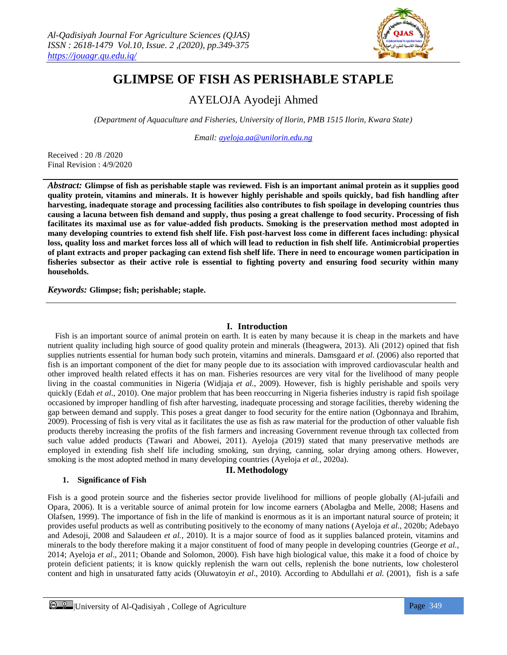

# **GLIMPSE OF FISH AS PERISHABLE STAPLE**

# AYELOJA Ayodeji Ahmed

*(Department of Aquaculture and Fisheries, University of Ilorin, PMB 1515 Ilorin, Kwara State)*

*Email: [ayeloja.aa@unilorin.edu.ng](mailto:ayeloja.aa@unilorin.edu.ng)*

Received : 20 /8 /2020 Final Revision : 4/9/2020

*Abstract:* **Glimpse of fish as perishable staple was reviewed. Fish is an important animal protein as it supplies good quality protein, vitamins and minerals. It is however highly perishable and spoils quickly, bad fish handling after harvesting, inadequate storage and processing facilities also contributes to fish spoilage in developing countries thus causing a lacuna between fish demand and supply, thus posing a great challenge to food security. Processing of fish facilitates its maximal use as for value-added fish products. Smoking is the preservation method most adopted in many developing countries to extend fish shelf life. Fish post-harvest loss come in different faces including: physical loss, quality loss and market forces loss all of which will lead to reduction in fish shelf life. Antimicrobial properties of plant extracts and proper packaging can extend fish shelf life. There in need to encourage women participation in fisheries subsector as their active role is essential to fighting poverty and ensuring food security within many households.**

*Keywords:* **Glimpse; fish; perishable; staple.**

#### **I. Introduction**

Fish is an important source of animal protein on earth. It is eaten by many because it is cheap in the markets and have nutrient quality including high source of good quality protein and minerals (Iheagwera, 2013). Ali (2012) opined that fish supplies nutrients essential for human body such protein, vitamins and minerals. Damsgaard *et al*. (2006) also reported that fish is an important component of the diet for many people due to its association with improved cardiovascular health and other improved health related effects it has on man. Fisheries resources are very vital for the livelihood of many people living in the coastal communities in Nigeria (Widjaja *et al.*, 2009). However, fish is highly perishable and spoils very quickly (Edah *et al*., 2010). One major problem that has been reoccurring in Nigeria fisheries industry is rapid fish spoilage occasioned by improper handling of fish after harvesting, inadequate processing and storage facilities, thereby widening the gap between demand and supply. This poses a great danger to food security for the entire nation (Ogbonnaya and Ibrahim, 2009). Processing of fish is very vital as it facilitates the use as fish as raw material for the production of other valuable fish products thereby increasing the profits of the fish farmers and increasing Government revenue through tax collected from such value added products (Tawari and Abowei, 2011). Ayeloja (2019) stated that many preservative methods are employed in extending fish shelf life including smoking, sun drying, canning, solar drying among others. However, smoking is the most adopted method in many developing countries (Ayeloja *et al.*, 2020a).

#### **II. Methodology**

#### **1. Significance of Fish**

Fish is a good protein source and the fisheries sector provide livelihood for millions of people globally (Al-jufaili and Opara, 2006). It is a veritable source of animal protein for low income earners (Abolagba and Melle, 2008; Hasens and Olafsen, 1999). The importance of fish in the life of mankind is enormous as it is an important natural source of protein; it provides useful products as well as contributing positively to the economy of many nations (Ayeloja *et al.*, 2020b; Adebayo and Adesoji, 2008 and Salaudeen *et al.*, 2010). It is a major source of food as it supplies balanced protein, vitamins and minerals to the body therefore making it a major constituent of food of many people in developing countries (George *et al.*, 2014; Ayeloja *et al*., 2011; Obande and Solomon, 2000). Fish have high biological value, this make it a food of choice by protein deficient patients; it is know quickly replenish the warn out cells, replenish the bone nutrients, low cholesterol content and high in unsaturated fatty acids (Oluwatoyin *et al*., 2010). According to Abdullahi *et al.* (2001), fish is a safe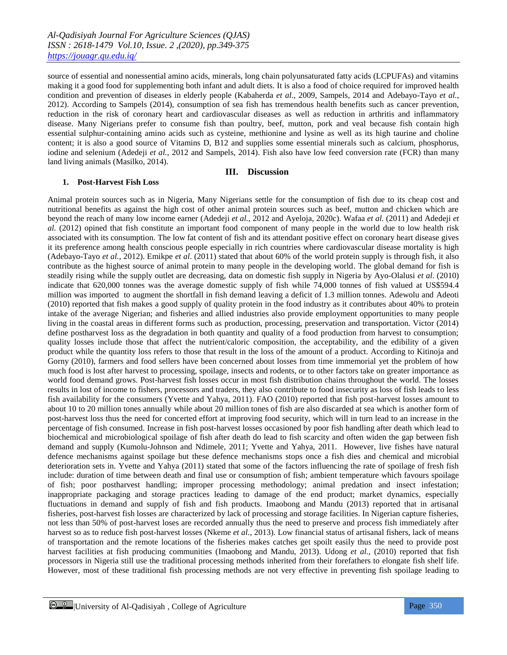source of essential and nonessential amino acids, minerals, long chain polyunsaturated fatty acids (LCPUFAs) and vitamins making it a good food for supplementing both infant and adult diets. It is also a food of choice required for improved health condition and prevention of diseases in elderly people (Kabaherda *et al*., 2009, Sampels, 2014 and Adebayo-Tayo *et al.*, 2012). According to Sampels (2014), consumption of sea fish has tremendous health benefits such as cancer prevention, reduction in the risk of coronary heart and cardiovascular diseases as well as reduction in arthritis and inflammatory disease. Many Nigerians prefer to consume fish than poultry, beef, mutton, pork and veal because fish contain high essential sulphur-containing amino acids such as cysteine, methionine and lysine as well as its high taurine and choline content; it is also a good source of Vitamins D, B12 and supplies some essential minerals such as calcium, phosphorus, iodine and selenium (Adedeji *et al.*, 2012 and Sampels, 2014). Fish also have low feed conversion rate (FCR) than many land living animals (Masilko, 2014).

#### **III. Discussion**

#### **1. Post-Harvest Fish Loss**

Animal protein sources such as in Nigeria, Many Nigerians settle for the consumption of fish due to its cheap cost and nutritional benefits as against the high cost of other animal protein sources such as beef, mutton and chicken which are beyond the reach of many low income earner (Adedeji *et al.,* 2012 and Ayeloja, 2020c). Wafaa *et al.* (2011) and Adedeji *et al.* (2012) opined that fish constitute an important food component of many people in the world due to low health risk associated with its consumption. The low fat content of fish and its attendant positive effect on coronary heart disease gives it its preference among health conscious people especially in rich countries where cardiovascular disease mortality is high (Adebayo-Tayo *et al.*, 2012). Emikpe *et al*. (2011) stated that about 60% of the world protein supply is through fish, it also contribute as the highest source of animal protein to many people in the developing world. The global demand for fish is steadily rising while the supply outlet are decreasing, data on domestic fish supply in Nigeria by Ayo-Olalusi *et al*. (2010) indicate that 620,000 tonnes was the average domestic supply of fish while 74,000 tonnes of fish valued at US\$594.4 million was imported to augment the shortfall in fish demand leaving a deficit of 1.3 million tonnes. Adewolu and Adeoti (2010) reported that fish makes a good supply of quality protein in the food industry as it contributes about 40% to protein intake of the average Nigerian; and fisheries and allied industries also provide employment opportunities to many people living in the coastal areas in different forms such as production, processing, preservation and transportation. Victor (2014) define postharvest loss as the degradation in both quantity and quality of a food production from harvest to consumption; quality losses include those that affect the nutrient/caloric composition, the acceptability, and the edibility of a given product while the quantity loss refers to those that result in the loss of the amount of a product. According to Kitinoja and Gorny (2010), farmers and food sellers have been concerned about losses from time immemorial yet the problem of how much food is lost after harvest to processing, spoilage, insects and rodents, or to other factors take on greater importance as world food demand grows. Post-harvest fish losses occur in most fish distribution chains throughout the world. The losses results in lost of income to fishers, processors and traders, they also contribute to food insecurity as loss of fish leads to less fish availability for the consumers (Yvette and Yahya, 2011). FAO (2010) reported that fish post-harvest losses amount to about 10 to 20 million tones annually while about 20 million tones of fish are also discarded at sea which is another form of post-harvest loss thus the need for concerted effort at improving food security, which will in turn lead to an increase in the percentage of fish consumed. Increase in fish post-harvest losses occasioned by poor fish handling after death which lead to biochemical and microbiological spoilage of fish after death do lead to fish scarcity and often widen the gap between fish demand and supply (Kumolu-Johnson and Ndimele, 2011; Yvette and Yahya, 2011. However, live fishes have natural defence mechanisms against spoilage but these defence mechanisms stops once a fish dies and chemical and microbial deterioration sets in. Yvette and Yahya (2011) stated that some of the factors influencing the rate of spoilage of fresh fish include: duration of time between death and final use or consumption of fish; ambient temperature which favours spoilage of fish; poor postharvest handling; improper processing methodology; animal predation and insect infestation; inappropriate packaging and storage practices leading to damage of the end product; market dynamics, especially fluctuations in demand and supply of fish and fish products. Imaobong and Mandu (2013) reported that in artisanal fisheries, post-harvest fish losses are characterized by lack of processing and storage facilities. In Nigerian capture fisheries, not less than 50% of post-harvest loses are recorded annually thus the need to preserve and process fish immediately after harvest so as to reduce fish post-harvest losses (Nkeme *et al.*, 2013). Low financial status of artisanal fishers, lack of means of transportation and the remote locations of the fisheries makes catches get spoilt easily thus the need to provide post harvest facilities at fish producing communities (Imaobong and Mandu, 2013). Udong *et al.*, (2010) reported that fish processors in Nigeria still use the traditional processing methods inherited from their forefathers to elongate fish shelf life. However, most of these traditional fish processing methods are not very effective in preventing fish spoilage leading to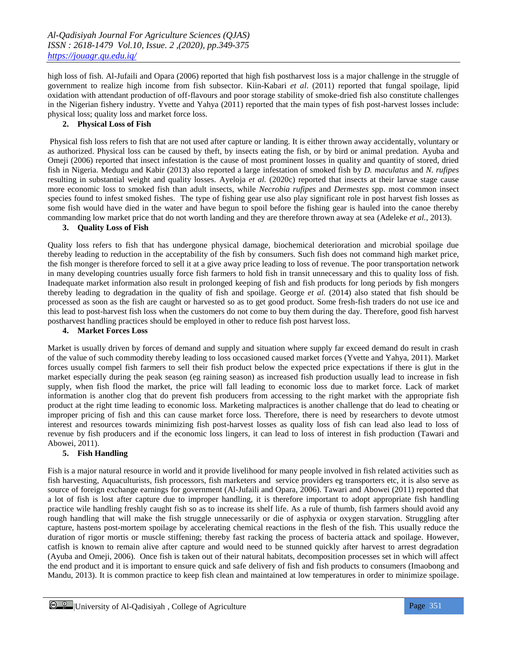high loss of fish. Al-Jufaili and Opara (2006) reported that high fish postharvest loss is a major challenge in the struggle of government to realize high income from fish subsector. Kiin-Kabari *et al*. (2011) reported that fungal spoilage, lipid oxidation with attendant production of off-flavours and poor storage stability of smoke-dried fish also constitute challenges in the Nigerian fishery industry. Yvette and Yahya (2011) reported that the main types of fish post-harvest losses include: physical loss; quality loss and market force loss.

#### **2. Physical Loss of Fish**

Physical fish loss refers to fish that are not used after capture or landing. It is either thrown away accidentally, voluntary or as authorized. Physical loss can be caused by theft, by insects eating the fish, or by bird or animal predation. Ayuba and Omeji (2006) reported that insect infestation is the cause of most prominent losses in quality and quantity of stored, dried fish in Nigeria. Medugu and Kabir (2013) also reported a large infestation of smoked fish by *D. maculatus* and *N. rufipes*  resulting in substantial weight and quality losses. Ayeloja *et al.* (2020c) reported that insects at their larvae stage cause more economic loss to smoked fish than adult insects, while *Necrobia rufipes* and *De*r*mestes* spp. most common insect species found to infest smoked fishes. The type of fishing gear use also play significant role in post harvest fish losses as some fish would have died in the water and have begun to spoil before the fishing gear is hauled into the canoe thereby commanding low market price that do not worth landing and they are therefore thrown away at sea (Adeleke *et al.*, 2013).

### **3. Quality Loss of Fish**

Quality loss refers to fish that has undergone physical damage, biochemical deterioration and microbial spoilage due thereby leading to reduction in the acceptability of the fish by consumers. Such fish does not command high market price, the fish monger is therefore forced to sell it at a give away price leading to loss of revenue. The poor transportation network in many developing countries usually force fish farmers to hold fish in transit unnecessary and this to quality loss of fish. Inadequate market information also result in prolonged keeping of fish and fish products for long periods by fish mongers thereby leading to degradation in the quality of fish and spoilage. George *et al.* (2014) also stated that fish should be processed as soon as the fish are caught or harvested so as to get good product. Some fresh-fish traders do not use ice and this lead to post-harvest fish loss when the customers do not come to buy them during the day. Therefore, good fish harvest postharvest handling practices should be employed in other to reduce fish post harvest loss.

# **4. Market Forces Loss**

Market is usually driven by forces of demand and supply and situation where supply far exceed demand do result in crash of the value of such commodity thereby leading to loss occasioned caused market forces (Yvette and Yahya, 2011). Market forces usually compel fish farmers to sell their fish product below the expected price expectations if there is glut in the market especially during the peak season (eg raining season) as increased fish production usually lead to increase in fish supply, when fish flood the market, the price will fall leading to economic loss due to market force. Lack of market information is another clog that do prevent fish producers from accessing to the right market with the appropriate fish product at the right time leading to economic loss. Marketing malpractices is another challenge that do lead to cheating or improper pricing of fish and this can cause market force loss. Therefore, there is need by researchers to devote utmost interest and resources towards minimizing fish post-harvest losses as quality loss of fish can lead also lead to loss of revenue by fish producers and if the economic loss lingers, it can lead to loss of interest in fish production (Tawari and Abowei, 2011).

#### **5. Fish Handling**

Fish is a major natural resource in world and it provide livelihood for many people involved in fish related activities such as fish harvesting, Aquaculturists, fish processors, fish marketers and service providers eg transporters etc, it is also serve as source of foreign exchange earnings for government (Al-Jufaili and Opara, 2006). Tawari and Abowei (2011) reported that a lot of fish is lost after capture due to improper handling, it is therefore important to adopt appropriate fish handling practice wile handling freshly caught fish so as to increase its shelf life. As a rule of thumb, fish farmers should avoid any rough handling that will make the fish struggle unnecessarily or die of asphyxia or oxygen starvation. Struggling after capture, hastens post-mortem spoilage by accelerating chemical reactions in the flesh of the fish. This usually reduce the duration of rigor mortis or muscle stiffening; thereby fast racking the process of bacteria attack and spoilage. However, catfish is known to remain alive after capture and would need to be stunned quickly after harvest to arrest degradation (Ayuba and Omeji, 2006). Once fish is taken out of their natural habitats, decomposition processes set in which will affect the end product and it is important to ensure quick and safe delivery of fish and fish products to consumers (Imaobong and Mandu, 2013). It is common practice to keep fish clean and maintained at low temperatures in order to minimize spoilage.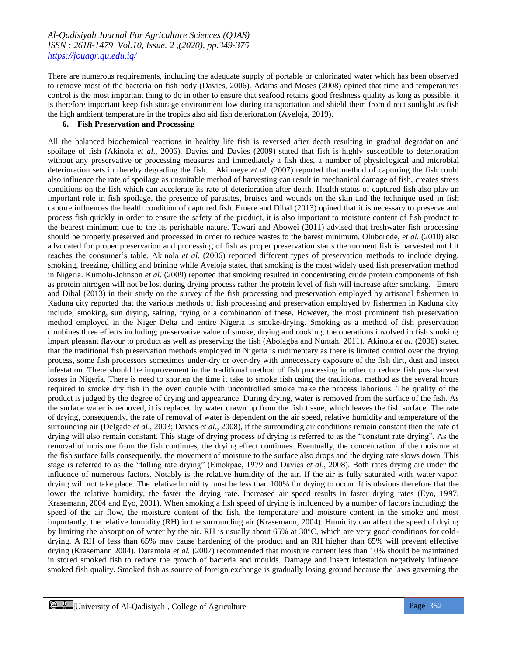There are numerous requirements, including the adequate supply of portable or chlorinated water which has been observed to remove most of the bacteria on fish body (Davies, 2006). Adams and Moses (2008) opined that time and temperatures control is the most important thing to do in other to ensure that seafood retains good freshness quality as long as possible, it is therefore important keep fish storage environment low during transportation and shield them from direct sunlight as fish the high ambient temperature in the tropics also aid fish deterioration (Ayeloja, 2019).

#### **6. Fish Preservation and Processing**

All the balanced biochemical reactions in healthy life fish is reversed after death resulting in gradual degradation and spoilage of fish (Akinola *et al*., 2006). Davies and Davies (2009) stated that fish is highly susceptible to deterioration without any preservative or processing measures and immediately a fish dies, a number of physiological and microbial deterioration sets in thereby degrading the fish. Akinneye *et al*. (2007) reported that method of capturing the fish could also influence the rate of spoilage as unsuitable method of harvesting can result in mechanical damage of fish, creates stress conditions on the fish which can accelerate its rate of deterioration after death. Health status of captured fish also play an important role in fish spoilage, the presence of parasites, bruises and wounds on the skin and the technique used in fish capture influences the health condition of captured fish. Emere and Dibal (2013) opined that it is necessary to preserve and process fish quickly in order to ensure the safety of the product, it is also important to moisture content of fish product to the bearest minimum due to the its perishable nature. Tawari and Abowei (2011) advised that freshwater fish processing should be properly preserved and processed in order to reduce wastes to the barest minimum. Oluborode, *et al.* (2010) also advocated for proper preservation and processing of fish as proper preservation starts the moment fish is harvested until it reaches the consumer's table. Akinola *et al*. (2006) reported different types of preservation methods to include drying, smoking, freezing, chilling and brining while Ayeloja stated that smoking is the most widely used fish preservation method in Nigeria. Kumolu-Johnson *et al.* (2009) reported that smoking resulted in concentrating crude protein components of fish as protein nitrogen will not be lost during drying process rather the protein level of fish will increase after smoking. Emere and Dibal (2013) in their study on the survey of the fish processing and preservation employed by artisanal fishermen in Kaduna city reported that the various methods of fish processing and preservation employed by fishermen in Kaduna city include; smoking, sun drying, salting, frying or a combination of these. However, the most prominent fish preservation method employed in the Niger Delta and entire Nigeria is smoke-drying. Smoking as a method of fish preservation combines three effects including; preservative value of smoke, drying and cooking, the operations involved in fish smoking impart pleasant flavour to product as well as preserving the fish (Abolagba and Nuntah, 2011). Akinola *et al*. (2006) stated that the traditional fish preservation methods employed in Nigeria is rudimentary as there is limited control over the drying process, some fish processors sometimes under-dry or over-dry with unnecessary exposure of the fish dirt, dust and insect infestation. There should be improvement in the traditional method of fish processing in other to reduce fish post-harvest losses in Nigeria. There is need to shorten the time it take to smoke fish using the traditional method as the several hours required to smoke dry fish in the oven couple with uncontrolled smoke make the process laborious. The quality of the product is judged by the degree of drying and appearance. During drying, water is removed from the surface of the fish. As the surface water is removed, it is replaced by water drawn up from the fish tissue, which leaves the fish surface. The rate of drying, consequently, the rate of removal of water is dependent on the air speed, relative humidity and temperature of the surrounding air (Delgade *et al*., 2003; Davies *et al*., 2008), if the surrounding air conditions remain constant then the rate of drying will also remain constant. This stage of drying process of drying is referred to as the "constant rate drying". As the removal of moisture from the fish continues, the drying effect continues. Eventually, the concentration of the moisture at the fish surface falls consequently, the movement of moisture to the surface also drops and the drying rate slows down. This stage is referred to as the "falling rate drying" (Emokpae, 1979 and Davies *et al*., 2008). Both rates drying are under the influence of numerous factors. Notably is the relative humidity of the air. If the air is fully saturated with water vapor, drying will not take place. The relative humidity must be less than 100% for drying to occur. It is obvious therefore that the lower the relative humidity, the faster the drying rate. Increased air speed results in faster drying rates (Eyo, 1997; Krasemann, 2004 and Eyo, 2001). When smoking a fish speed of drying is influenced by a number of factors including; the speed of the air flow, the moisture content of the fish, the temperature and moisture content in the smoke and most importantly, the relative humidity (RH) in the surrounding air (Krasemann, 2004). Humidity can affect the speed of drying by limiting the absorption of water by the air. RH is usually about 65% at 30°C, which are very good conditions for colddrying. A RH of less than 65% may cause hardening of the product and an RH higher than 65% will prevent effective drying (Krasemann 2004). Daramola *et al.* (2007) recommended that moisture content less than 10% should be maintained in stored smoked fish to reduce the growth of bacteria and moulds. Damage and insect infestation negatively influence smoked fish quality. Smoked fish as source of foreign exchange is gradually losing ground because the laws governing the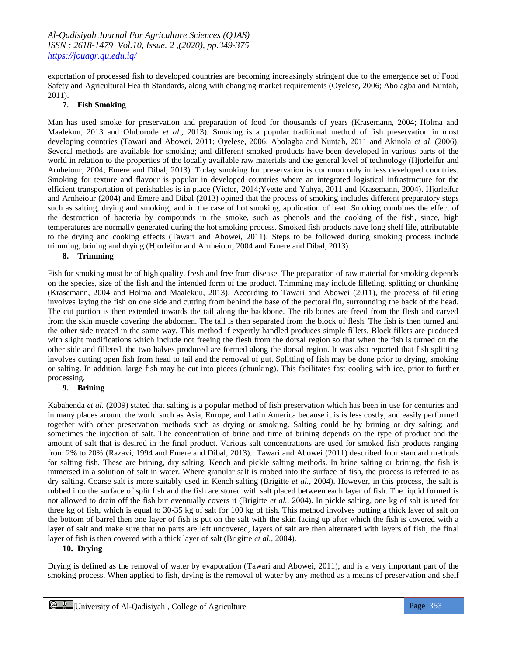exportation of processed fish to developed countries are becoming increasingly stringent due to the emergence set of Food Safety and Agricultural Health Standards, along with changing market requirements (Oyelese, 2006; Abolagba and Nuntah, 2011).

#### **7. Fish Smoking**

Man has used smoke for preservation and preparation of food for thousands of years (Krasemann, 2004; Holma and Maalekuu, 2013 and Oluborode *et al.*, 2013). Smoking is a popular traditional method of fish preservation in most developing countries (Tawari and Abowei, 2011; Oyelese, 2006; Abolagba and Nuntah, 2011 and Akinola *et al*. (2006). Several methods are available for smoking; and different smoked products have been developed in various parts of the world in relation to the properties of the locally available raw materials and the general level of technology (Hjorleifur and Arnheiour, 2004; Emere and Dibal, 2013). Today smoking for preservation is common only in less developed countries. Smoking for texture and flavour is popular in developed countries where an integrated logistical infrastructure for the efficient transportation of perishables is in place (Victor, 2014;Yvette and Yahya, 2011 and Krasemann, 2004). Hjorleifur and Arnheiour (2004) and Emere and Dibal (2013) opined that the process of smoking includes different preparatory steps such as salting, drying and smoking; and in the case of hot smoking, application of heat. Smoking combines the effect of the destruction of bacteria by compounds in the smoke, such as phenols and the cooking of the fish, since, high temperatures are normally generated during the hot smoking process. Smoked fish products have long shelf life, attributable to the drying and cooking effects (Tawari and Abowei, 2011). Steps to be followed during smoking process include trimming, brining and drying (Hjorleifur and Arnheiour, 2004 and Emere and Dibal, 2013).

#### **8. Trimming**

Fish for smoking must be of high quality, fresh and free from disease. The preparation of raw material for smoking depends on the species, size of the fish and the intended form of the product. Trimming may include filleting, splitting or chunking (Krasemann, 2004 and Holma and Maalekuu, 2013). According to Tawari and Abowei (2011), the process of filleting involves laying the fish on one side and cutting from behind the base of the pectoral fin, surrounding the back of the head. The cut portion is then extended towards the tail along the backbone. The rib bones are freed from the flesh and carved from the skin muscle covering the abdomen. The tail is then separated from the block of flesh. The fish is then turned and the other side treated in the same way. This method if expertly handled produces simple fillets. Block fillets are produced with slight modifications which include not freeing the flesh from the dorsal region so that when the fish is turned on the other side and filleted, the two halves produced are formed along the dorsal region. It was also reported that fish splitting involves cutting open fish from head to tail and the removal of gut. Splitting of fish may be done prior to drying, smoking or salting. In addition, large fish may be cut into pieces (chunking). This facilitates fast cooling with ice, prior to further processing.

### **9. Brining**

Kabahenda *et al.* (2009) stated that salting is a popular method of fish preservation which has been in use for centuries and in many places around the world such as Asia, Europe, and Latin America because it is is less costly, and easily performed together with other preservation methods such as drying or smoking. Salting could be by brining or dry salting; and sometimes the injection of salt. The concentration of brine and time of brining depends on the type of product and the amount of salt that is desired in the final product. Various salt concentrations are used for smoked fish products ranging from 2% to 20% (Razavi, 1994 and Emere and Dibal, 2013). Tawari and Abowei (2011) described four standard methods for salting fish. These are brining, dry salting, Kench and pickle salting methods. In brine salting or brining, the fish is immersed in a solution of salt in water. Where granular salt is rubbed into the surface of fish, the process is referred to as dry salting. Coarse salt is more suitably used in Kench salting (Brigitte *et al.*, 2004). However, in this process, the salt is rubbed into the surface of split fish and the fish are stored with salt placed between each layer of fish. The liquid formed is not allowed to drain off the fish but eventually covers it (Brigitte *et al.*, 2004). In pickle salting, one kg of salt is used for three kg of fish, which is equal to 30-35 kg of salt for 100 kg of fish. This method involves putting a thick layer of salt on the bottom of barrel then one layer of fish is put on the salt with the skin facing up after which the fish is covered with a layer of salt and make sure that no parts are left uncovered, layers of salt are then alternated with layers of fish, the final layer of fish is then covered with a thick layer of salt (Brigitte *et al.*, 2004).

# **10. Drying**

Drying is defined as the removal of water by evaporation (Tawari and Abowei, 2011); and is a very important part of the smoking process. When applied to fish, drying is the removal of water by any method as a means of preservation and shelf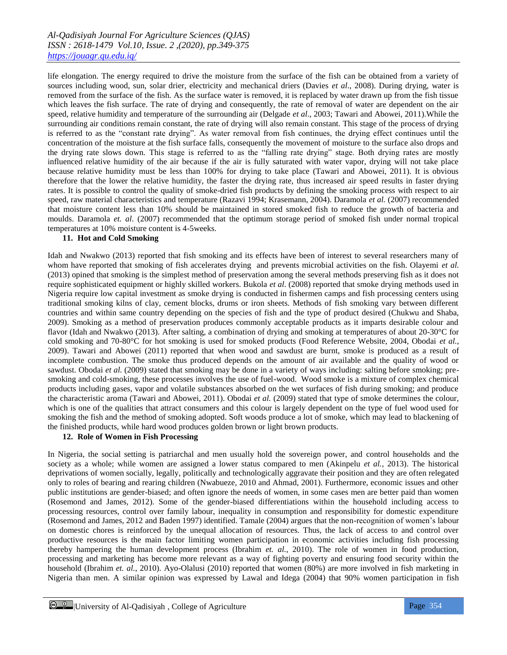life elongation. The energy required to drive the moisture from the surface of the fish can be obtained from a variety of sources including wood, sun, solar drier, electricity and mechanical driers (Davies *et al*., 2008). During drying, water is removed from the surface of the fish. As the surface water is removed, it is replaced by water drawn up from the fish tissue which leaves the fish surface. The rate of drying and consequently, the rate of removal of water are dependent on the air speed, relative humidity and temperature of the surrounding air (Delgade *et al*., 2003; Tawari and Abowei, 2011).While the surrounding air conditions remain constant, the rate of drying will also remain constant. This stage of the process of drying is referred to as the "constant rate drying". As water removal from fish continues, the drying effect continues until the concentration of the moisture at the fish surface falls, consequently the movement of moisture to the surface also drops and the drying rate slows down. This stage is referred to as the "falling rate drying" stage. Both drying rates are mostly influenced relative humidity of the air because if the air is fully saturated with water vapor, drying will not take place because relative humidity must be less than 100% for drying to take place (Tawari and Abowei, 2011). It is obvious therefore that the lower the relative humidity, the faster the drying rate, thus increased air speed results in faster drying rates. It is possible to control the quality of smoke-dried fish products by defining the smoking process with respect to air speed, raw material characteristics and temperature (Razavi 1994; Krasemann, 2004). Daramola *et al.* (2007) recommended that moisture content less than 10% should be maintained in stored smoked fish to reduce the growth of bacteria and moulds. Daramola *et. al*. (2007) recommended that the optimum storage period of smoked fish under normal tropical temperatures at 10% moisture content is 4-5weeks.

#### **11. Hot and Cold Smoking**

Idah and Nwakwo (2013) reported that fish smoking and its effects have been of interest to several researchers many of whom have reported that smoking of fish accelerates drying and prevents microbial activities on the fish. Olayemi *et al.* (2013) opined that smoking is the simplest method of preservation among the several methods preserving fish as it does not require sophisticated equipment or highly skilled workers. Bukola *et al*. (2008) reported that smoke drying methods used in Nigeria require low capital investment as smoke drying is conducted in fishermen camps and fish processing centers using traditional smoking kilns of clay, cement blocks, drums or iron sheets. Methods of fish smoking vary between different countries and within same country depending on the species of fish and the type of product desired (Chukwu and Shaba, 2009). Smoking as a method of preservation produces commonly acceptable products as it imparts desirable colour and flavor (Idah and Nwakwo (2013). After salting, a combination of drying and smoking at temperatures of about 20-30°C for cold smoking and 70-80°C for hot smoking is used for smoked products (Food Reference Website, 2004, Obodai *et al.*, 2009). Tawari and Abowei (2011) reported that when wood and sawdust are burnt, smoke is produced as a result of incomplete combustion. The smoke thus produced depends on the amount of air available and the quality of wood or sawdust. Obodai *et al.* (2009) stated that smoking may be done in a variety of ways including: salting before smoking; presmoking and cold-smoking, these processes involves the use of fuel-wood. Wood smoke is a mixture of complex chemical products including gases, vapor and volatile substances absorbed on the wet surfaces of fish during smoking; and produce the characteristic aroma (Tawari and Abowei, 2011). Obodai *et al.* (2009) stated that type of smoke determines the colour, which is one of the qualities that attract consumers and this colour is largely dependent on the type of fuel wood used for smoking the fish and the method of smoking adopted. Soft woods produce a lot of smoke, which may lead to blackening of the finished products, while hard wood produces golden brown or light brown products.

#### **12. Role of Women in Fish Processing**

In Nigeria, the social setting is patriarchal and men usually hold the sovereign power, and control households and the society as a whole; while women are assigned a lower status compared to men (Akinpelu *et al.*, 2013). The historical deprivations of women socially, legally, politically and technologically aggravate their position and they are often relegated only to roles of bearing and rearing children (Nwabueze, 2010 and Ahmad, 2001). Furthermore, economic issues and other public institutions are gender-biased; and often ignore the needs of women, in some cases men are better paid than women (Rosemond and James, 2012). Some of the gender-biased differentiations within the household including access to processing resources, control over family labour, inequality in consumption and responsibility for domestic expenditure (Rosemond and James, 2012 and Baden 1997) identified. Tamale (2004) argues that the non-recognition of women's labour on domestic chores is reinforced by the unequal allocation of resources. Thus, the lack of access to and control over productive resources is the main factor limiting women participation in economic activities including fish processing thereby hampering the human development process (Ibrahim *et. al.*, 2010). The role of women in food production, processing and marketing has become more relevant as a way of fighting poverty and ensuring food security within the household (Ibrahim *et. al.*, 2010). Ayo-Olalusi (2010) reported that women (80%) are more involved in fish marketing in Nigeria than men. A similar opinion was expressed by Lawal and Idega (2004) that 90% women participation in fish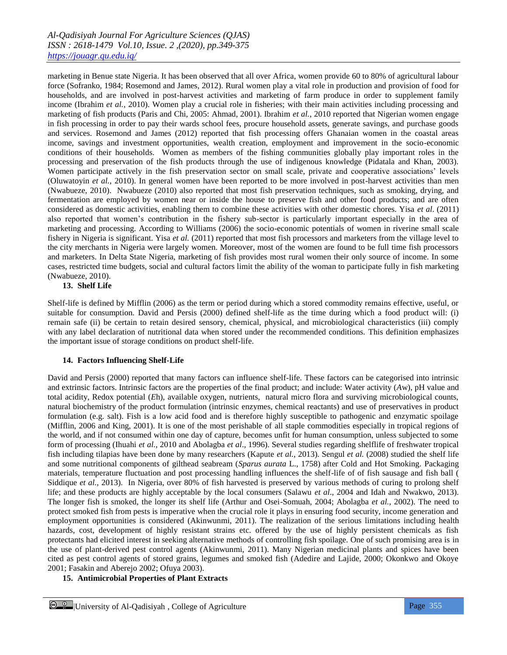marketing in Benue state Nigeria. It has been observed that all over Africa, women provide 60 to 80% of agricultural labour force (Sofranko, 1984; Rosemond and James, 2012). Rural women play a vital role in production and provision of food for households, and are involved in post-harvest activities and marketing of farm produce in order to supplement family income (Ibrahim *et al.*, 2010). Women play a crucial role in fisheries; with their main activities including processing and marketing of fish products (Paris and Chi, 2005: Ahmad, 2001). Ibrahim *et al.*, 2010 reported that Nigerian women engage in fish processing in order to pay their wards school fees, procure household assets, generate savings, and purchase goods and services. Rosemond and James (2012) reported that fish processing offers Ghanaian women in the coastal areas income, savings and investment opportunities, wealth creation, employment and improvement in the socio-economic conditions of their households. Women as members of the fishing communities globally play important roles in the processing and preservation of the fish products through the use of indigenous knowledge (Pidatala and Khan, 2003). Women participate actively in the fish preservation sector on small scale, private and cooperative associations' levels (Oluwatoyin *et al.*, 2010). In general women have been reported to be more involved in post-harvest activities than men (Nwabueze, 2010). Nwabueze (2010) also reported that most fish preservation techniques, such as smoking, drying, and fermentation are employed by women near or inside the house to preserve fish and other food products; and are often considered as domestic activities, enabling them to combine these activities with other domestic chores. Yisa *et al*. (2011) also reported that women's contribution in the fishery sub-sector is particularly important especially in the area of marketing and processing. According to Williams (2006) the socio-economic potentials of women in riverine small scale fishery in Nigeria is significant. Yisa *et al.* (2011) reported that most fish processors and marketers from the village level to the city merchants in Nigeria were largely women. Moreover, most of the women are found to be full time fish processors and marketers. In Delta State Nigeria, marketing of fish provides most rural women their only source of income. In some cases, restricted time budgets, social and cultural factors limit the ability of the woman to participate fully in fish marketing (Nwabueze, 2010).

#### **13. Shelf Life**

Shelf-life is defined by Mifflin (2006) as the term or period during which a stored commodity remains effective, useful, or suitable for consumption. David and Persis (2000) defined shelf-life as the time during which a food product will: (i) remain safe (ii) be certain to retain desired sensory, chemical, physical, and microbiological characteristics (iii) comply with any label declaration of nutritional data when stored under the recommended conditions. This definition emphasizes the important issue of storage conditions on product shelf-life.

#### **14. Factors Influencing Shelf-Life**

David and Persis (2000) reported that many factors can influence shelf-life. These factors can be categorised into intrinsic and extrinsic factors. Intrinsic factors are the properties of the final product; and include: Water activity (*A*w), pH value and total acidity, Redox potential (*E*h), available oxygen, nutrients, natural micro flora and surviving microbiological counts, natural biochemistry of the product formulation (intrinsic enzymes, chemical reactants) and use of preservatives in product formulation (e.g. salt). Fish is a low acid food and is therefore highly susceptible to pathogenic and enzymatic spoilage (Mifflin, 2006 and King, 2001). It is one of the most perishable of all staple commodities especially in tropical regions of the world, and if not consumed within one day of capture, becomes unfit for human consumption, unless subjected to some form of processing (Ihuahi *et al.*, 2010 and Abolagba *et al*., 1996). Several studies regarding shelflife of freshwater tropical fish including tilapias have been done by many researchers (Kapute *et al.*, 2013). Sengul *et al.* (2008) studied the shelf life and some nutritional components of gilthead seabream (*Sparus aurata* L., 1758) after Cold and Hot Smoking. Packaging materials, temperature fluctuation and post processing handling influences the shelf-life of of fish sausage and fish ball ( Siddique *et al.*, 2013). In Nigeria, over 80% of fish harvested is preserved by various methods of curing to prolong shelf life; and these products are highly acceptable by the local consumers (Salawu *et al*., 2004 and Idah and Nwakwo, 2013). The longer fish is smoked, the longer its shelf life (Arthur and Osei-Somuah, 2004; Abolagba *et al.*, 2002). The need to protect smoked fish from pests is imperative when the crucial role it plays in ensuring food security, income generation and employment opportunities is considered (Akinwunmi, 2011). The realization of the serious limitations including health hazards, cost, development of highly resistant strains etc. offered by the use of highly persistent chemicals as fish protectants had elicited interest in seeking alternative methods of controlling fish spoilage. One of such promising area is in the use of plant-derived pest control agents (Akinwunmi, 2011). Many Nigerian medicinal plants and spices have been cited as pest control agents of stored grains, legumes and smoked fish (Adedire and Lajide, 2000; Okonkwo and Okoye 2001; Fasakin and Aberejo 2002; Ofuya 2003).

# **15. Antimicrobial Properties of Plant Extracts**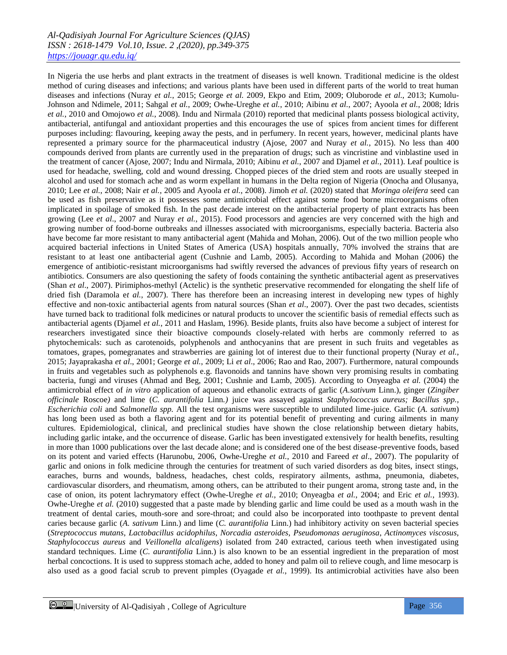In Nigeria the use herbs and plant extracts in the treatment of diseases is well known. Traditional medicine is the oldest method of curing diseases and infections; and various plants have been used in different parts of the world to treat human diseases and infections (Nuray *et al.*, 2015; George *et al.* 2009, Ekpo and Etim, 2009; Oluborode *et al.*, 2013; Kumolu-Johnson and Ndimele, 2011; Sahgal *et al.*, 2009; Owhe-Ureghe *et al.*, 2010; Aibinu *et al.*, 2007; Ayoola *et al.*, 2008; Idris *et al.*, 2010 and Omojowo *et al.*, 2008). Indu and Nirmala (2010) reported that medicinal plants possess biological activity, antibacterial, antifungal and antioxidant properties and this encourages the use of spices from ancient times for different purposes including: flavouring, keeping away the pests, and in perfumery. In recent years, however, medicinal plants have represented a primary source for the pharmaceutical industry (Ajose, 2007 and Nuray *et al.*, 2015). No less than 400 compounds derived from plants are currently used in the preparation of drugs; such as vincristine and vinblastine used in the treatment of cancer (Ajose, 2007; Indu and Nirmala, 2010; Aibinu *et al.*, 2007 and Djamel *et al.*, 2011). Leaf poultice is used for headache, swelling, cold and wound dressing. Chopped pieces of the dried stem and roots are usually steeped in alcohol and used for stomach ache and as worm expellant in humans in the Delta region of Nigeria (Onocha and Olusanya, 2010; Lee *et al.*, 2008; Nair *et al.*, 2005 and Ayoola *et al.*, 2008). Jimoh *et al.* (2020) stated that *Moringa oleifera* seed can be used as fish preservative as it possesses some antimicrobial effect against some food borne microorganisms often implicated in spoilage of smoked fish. In the past decade interest on the antibacterial property of plant extracts has been growing (Lee *et al*., 2007 and Nuray *et al.*, 2015). Food processors and agencies are very concerned with the high and growing number of food-borne outbreaks and illnesses associated with microorganisms, especially bacteria. Bacteria also have become far more resistant to many antibacterial agent (Mahida and Mohan, 2006). Out of the two million people who acquired bacterial infections in United States of America (USA) hospitals annually, 70% involved the strains that are resistant to at least one antibacterial agent (Cushnie and Lamb, 2005). According to Mahida and Mohan (2006) the emergence of antibiotic-resistant microorganisms had swiftly reversed the advances of previous fifty years of research on antibiotics. Consumers are also questioning the safety of foods containing the synthetic antibacterial agent as preservatives (Shan *et al*., 2007). Pirimiphos-methyl (Actelic) is the synthetic preservative recommended for elongating the shelf life of dried fish (Daramola e*t al.*, 2007). There has therefore been an increasing interest in developing new types of highly effective and non-toxic antibacterial agents from natural sources (Shan *et al*., 2007). Over the past two decades, scientists have turned back to traditional folk medicines or natural products to uncover the scientific basis of remedial effects such as antibacterial agents (Djamel *et al.*, 2011 and Haslam, 1996). Beside plants, fruits also have become a subject of interest for researchers investigated since their bioactive compounds closely-related with herbs are commonly referred to as phytochemicals: such as carotenoids, polyphenols and anthocyanins that are present in such fruits and vegetables as tomatoes, grapes, pomegranates and strawberries are gaining lot of interest due to their functional property (Nuray *et al.*, 2015; Jayaprakasha *et al*., 2001; George *et al.*, 2009; Li *et al*., 2006; Rao and Rao, 2007). Furthermore, natural compounds in fruits and vegetables such as polyphenols e.g. flavonoids and tannins have shown very promising results in combating bacteria, fungi and viruses (Ahmad and Beg, 2001; Cushnie and Lamb, 2005). According to Onyeagba *et al.* (2004) the antimicrobial effect of *in vitro* application of aqueous and ethanolic extracts of garlic (*A.sativum* Linn.), ginger (*Zingiber officinale* Roscoe*)* and lime (*C. aurantifolia* Linn*.)* juice was assayed against *Staphylococcus aureus; Bacillus spp., Escherichia coli* and *Salmonella spp.* All the test organisms were susceptible to undiluted lime-juice. Garlic (*A. sativum*) has long been used as both a flavoring agent and for its potential benefit of preventing and curing ailments in many cultures. Epidemiological, clinical, and preclinical studies have shown the close relationship between dietary habits, including garlic intake, and the occurrence of disease. Garlic has been investigated extensively for health benefits, resulting in more than 1000 publications over the last decade alone; and is considered one of the best disease-preventive foods, based on its potent and varied effects (Harunobu, 2006, Owhe-Ureghe *et al.*, 2010 and Fareed *et al*., 2007). The popularity of garlic and onions in folk medicine through the centuries for treatment of such varied disorders as dog bites, insect stings, earaches, burns and wounds, baldness, headaches, chest colds, respiratory ailments, asthma, pneumonia, diabetes, cardiovascular disorders, and rheumatism, among others, can be attributed to their pungent aroma, strong taste and, in the case of onion, its potent lachrymatory effect (Owhe-Ureghe *et al.*, 2010; Onyeagba *et al.*, 2004; and Eric *et al.*, 1993). Owhe-Ureghe *et al.* (2010) suggested that a paste made by blending garlic and lime could be used as a mouth wash in the treatment of dental caries, mouth-sore and sore-throat; and could also be incorporated into toothpaste to prevent dental caries because garlic (*A. sativum* Linn.) and lime (*C. aurantifolia* Linn.) had inhibitory activity on seven bacterial species (*Streptococcus mutans*, *Lactobacillus acidophilus*, *Norcadia asteroides*, *Pseudomonas aeruginosa*, *Actinomyces viscosus*, *Staphylococcus aureus* and *Veillonella alcaligens*) isolated from 240 extracted, carious teeth when investigated using standard techniques. Lime (*C. aurantifolia* Linn.) is also known to be an essential ingredient in the preparation of most herbal concoctions. It is used to suppress stomach ache, added to honey and palm oil to relieve cough, and lime mesocarp is also used as a good facial scrub to prevent pimples (Oyagade *et al.*, 1999). Its antimicrobial activities have also been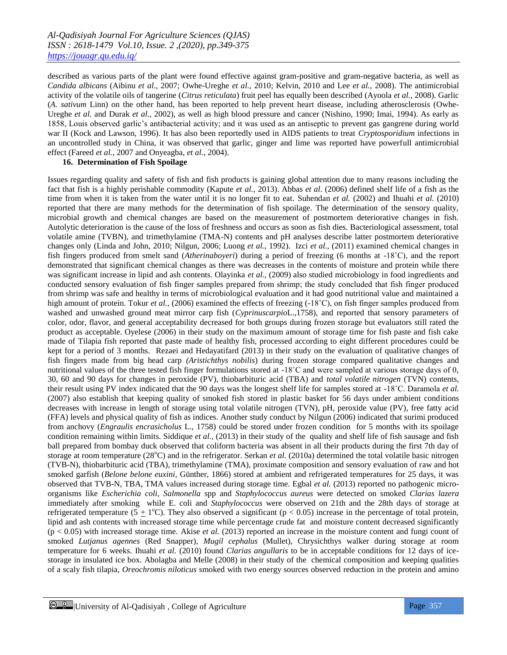described as various parts of the plant were found effective against gram-positive and gram-negative bacteria, as well as *Candida albicans* (Aibinu *et al.*, 2007; Owhe-Ureghe *et al.,* 2010; Kelvin, 2010 and Lee *et al.*, 2008). The antimicrobial activity of the volatile oils of tangerine (*Citrus reticulata*) fruit peel has equally been described (Ayoola *et al.*, 2008). Garlic (*A. sativum* Linn) on the other hand, has been reported to help prevent heart disease, including atherosclerosis (Owhe-Ureghe *et al.* and Durak *et al.*, 2002), as well as high blood pressure and cancer (Nishino, 1990; Imai, 1994). As early as 1858, Louis observed garlic's antibacterial activity; and it was used as an antiseptic to prevent gas gangrene during world war II (Kock and Lawson, 1996). It has also been reportedly used in AIDS patients to treat *Cryptosporidium* infections in an uncontrolled study in China, it was observed that garlic, ginger and lime was reported have powerfull antimicrobial effect (Fareed *et al.*, 2007 and Onyeagba, *et al.*, 2004).

#### **16. Determination of Fish Spoilage**

Issues regarding quality and safety of fish and fish products is gaining global attention due to many reasons including the fact that fish is a highly perishable commodity (Kapute *et al.*, 2013). Abbas *et al*. (2006) defined shelf life of a fish as the time from when it is taken from the water until it is no longer fit to eat. Suhendan *et al.* (2002) and Ihuahi *et al.* (2010) reported that there are many methods for the determination of fish spoilage. The determination of the sensory quality, microbial growth and chemical changes are based on the measurement of postmortem deteriorative changes in fish. Autolytic deterioration is the cause of the loss of freshness and occurs as soon as fish dies. Bacteriological assessment, total volatile amine (TVBN), and trimethylamine (TMA-N) contents and pH analyses describe latter postmortem deteriorative changes only (Linda and John, 2010; Nilgun, 2006; Luong *et al.*, 1992). Izci *et al.,* (2011) examined chemical changes in fish fingers produced from smelt sand (*Atherinaboyeri*) during a period of freezing (6 months at -18˚C), and the report demonstrated that significant chemical changes as there was decreases in the contents of moisture and protein while there was significant increase in lipid and ash contents. Olayinka *et al.,* (2009) also studied microbiology in food ingredients and conducted sensory evaluation of fish finger samples prepared from shrimp; the study concluded that fish finger produced from shrimp was safe and healthy in terms of microbiological evaluation and it had good nutritional value and maintained a high amount of protein. Tokur *et al.*, (2006) examined the effects of freezing (-18<sup>°</sup>C), on fish finger samples produced from washed and unwashed ground meat mirror carp fish (*Cyprinuscarpio*L.,1758), and reported that sensory parameters of color, odor, flavor, and general acceptability decreased for both groups during frozen storage but evaluators still rated the product as acceptable. Oyelese (2006) in their study on the maximum amount of storage time for fish paste and fish cake made of Tilapia fish reported that paste made of healthy fish, processed according to eight different procedures could be kept for a period of 3 months. Rezaei and Hedayatifard (2013) in their study on the evaluation of qualitative changes of fish fingers made from big head carp *(Aristichthys nobilis*) during frozen storage compared qualitative changes and nutritional values of the three tested fish finger formulations stored at -18˚C and were sampled at various storage days of 0, 30, 60 and 90 days for changes in peroxide (PV), thiobarbituric acid (TBA) and *total volatile nitrogen* (TVN) contents, their result using PV index indicated that the 90 days was the longest shelf life for samples stored at -18˚C. Daramola *et al.* (2007) also establish that keeping quality of smoked fish stored in plastic basket for 56 days under ambient conditions decreases with increase in length of storage using total volatile nitrogen (TVN), pH, peroxide value (PV), free fatty acid (FFA) levels and physical quality of fish as indices. Another study conduct by Nilgun (2006) indicated that surimi produced from anchovy (*Engraulis encrasicholus* L., 1758) could be stored under frozen condition for 5 months with its spoilage condition remaining within limits. Siddique *et al.*, (2013) in their study of the quality and shelf life of fish sausage and fish ball prepared from bombay duck observed that coliform bacteria was absent in all their products during the first 7th day of storage at room temperature (28<sup>o</sup>C) and in the refrigerator. Serkan *et al.* (2010a) determined the total volatile basic nitrogen (TVB-N), thiobarbituric acid (TBA), trimethylamine (TMA), proximate composition and sensory evaluation of raw and hot smoked garfish (*Belone belone euxini*, Günther, 1866) stored at ambient and refrigerated temperatures for 25 days, it was observed that TVB-N, TBA, TMA values increased during storage time. Egbal *et al.* (2013) reported no pathogenic microorganisms like *Escherichia coli*, *Salmonella* spp and *Staphylococcus aureus* were detected on smoked *Clarias lazera* immediately after smoking while E. coli and *Staphylococcus* were observed on 21th and the 28th days of storage at refrigerated temperature ( $5 \pm 1$ °C). They also observed a significant ( $p < 0.05$ ) increase in the percentage of total protein, lipid and ash contents with increased storage time while percentage crude fat and moisture content decreased significantly  $(p < 0.05)$  with increased storage time. Akise *et al.* (2013) reported an increase in the moisture content and fungi count of smoked *Lutjanus agennes* (Red Snapper), *Mugil cephalus* (Mullet), Chrysichthys walker during storage at room temperature for 6 weeks. Ihuahi *et al.* (2010) found *Clarias angullaris* to be in acceptable conditions for 12 days of icestorage in insulated ice box. Abolagba and Melle (2008) in their study of the chemical composition and keeping qualities of a scaly fish tilapia, *Oreochromis niloticus* smoked with two energy sources observed reduction in the protein and amino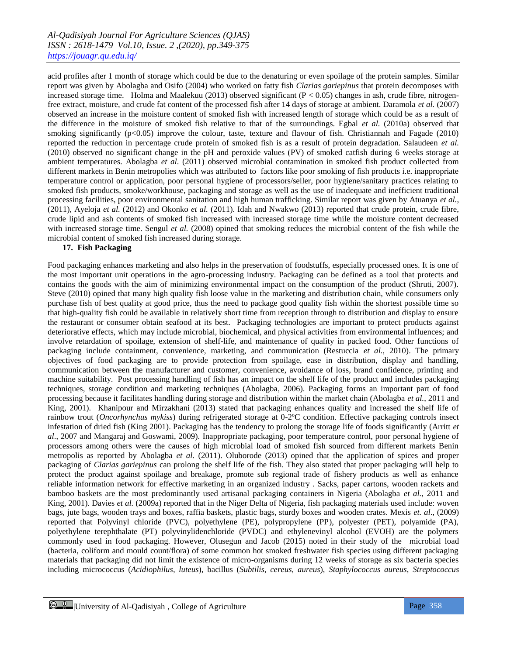acid profiles after 1 month of storage which could be due to the denaturing or even spoilage of the protein samples. Similar report was given by Abolagba and Osifo (2004) who worked on fatty fish *Clarias gariepinus* that protein decomposes with increased storage time. Holma and Maalekuu (2013) observed significant ( $P < 0.05$ ) changes in ash, crude fibre, nitrogenfree extract, moisture, and crude fat content of the processed fish after 14 days of storage at ambient. Daramola *et al.* (2007) observed an increase in the moisture content of smoked fish with increased length of storage which could be as a result of the difference in the moisture of smoked fish relative to that of the surroundings. Egbal *et al.* (2010a) observed that smoking significantly  $(p<0.05)$  improve the colour, taste, texture and flavour of fish. Christiannah and Fagade (2010) reported the reduction in percentage crude protein of smoked fish is as a result of protein degradation. Salaudeen *et al.* (2010) observed no significant change in the pH and peroxide values (PV) of smoked catfish during 6 weeks storage at ambient temperatures. Abolagba *et al*. (2011) observed microbial contamination in smoked fish product collected from different markets in Benin metropolies which was attributed to factors like poor smoking of fish products i.e. inappropriate temperature control or application, poor personal hygiene of processors/seller, poor hygiene/sanitary practices relating to smoked fish products, smoke/workhouse, packaging and storage as well as the use of inadequate and inefficient traditional processing facilities, poor environmental sanitation and high human trafficking. Similar report was given by Atuanya *et al.*, (2011), Ayeloja *et al.* (2012) and Okonko *et al.* (2011). Idah and Nwakwo (2013) reported that crude protein, crude fibre, crude lipid and ash contents of smoked fish increased with increased storage time while the moisture content decreased with increased storage time. Sengul *et al.* (2008) opined that smoking reduces the microbial content of the fish while the microbial content of smoked fish increased during storage.

# **17. Fish Packaging**

Food packaging enhances marketing and also helps in the preservation of foodstuffs, especially processed ones. It is one of the most important unit operations in the agro-processing industry. Packaging can be defined as a tool that protects and contains the goods with the aim of minimizing environmental impact on the consumption of the product (Shruti, 2007). Steve (2010) opined that many high quality fish loose value in the marketing and distribution chain, while consumers only purchase fish of best quality at good price, thus the need to package good quality fish within the shortest possible time so that high-quality fish could be available in relatively short time from reception through to distribution and display to ensure the restaurant or consumer obtain seafood at its best. Packaging technologies are important to protect products against deteriorative effects, which may include microbial, biochemical, and physical activities from environmental influences; and involve retardation of spoilage, extension of shelf-life, and maintenance of quality in packed food. Other functions of packaging include containment, convenience, marketing, and communication (Restuccia *et al.,* 2010). The primary objectives of food packaging are to provide protection from spoilage, ease in distribution, display and handling, communication between the manufacturer and customer, convenience, avoidance of loss, brand confidence, printing and machine suitability. Post processing handling of fish has an impact on the shelf life of the product and includes packaging techniques, storage condition and marketing techniques (Abolagba*,* 2006). Packaging forms an important part of food processing because it facilitates handling during storage and distribution within the market chain (Abolagba *et al.*, 2011 and King, 2001). Khanipour and Mirzakhani (2013) stated that packaging enhances quality and increased the shelf life of rainbow trout (*Oncorhynchus mykiss*) during refrigerated storage at 0-2ºC condition. Effective packaging controls insect infestation of dried fish (King 2001). Packaging has the tendency to prolong the storage life of foods significantly (Arritt *et al*., 2007 and Mangaraj and Goswami, 2009). Inappropriate packaging, poor temperature control, poor personal hygiene of processors among others were the causes of high microbial load of smoked fish sourced from different markets Benin metropolis as reported by Abolagba *et al.* (2011). Oluborode (2013) opined that the application of spices and proper packaging of *Clarias gariepinus* can prolong the shelf life of the fish. They also stated that proper packaging will help to protect the product against spoilage and breakage, promote sub regional trade of fishery products as well as enhance reliable information network for effective marketing in an organized industry . Sacks, paper cartons, wooden rackets and bamboo baskets are the most predominantly used artisanal packaging containers in Nigeria (Abolagba *et al.*, 2011 and King, 2001). Davies *et al.* (2009a) reported that in the Niger Delta of Nigeria, fish packaging materials used include: woven bags, jute bags, wooden trays and boxes, raffia baskets, plastic bags, sturdy boxes and wooden crates. Mexis *et. al*., (2009) reported that Polyvinyl chloride (PVC), polyethylene (PE), polypropylene (PP), polyester (PET), polyamide (PA), polyethylene terephthalate (PT) polyvinylidenchloride (PVDC) and ethylenevinyl alcohol (EVOH) are the polymers commonly used in food packaging. However, Olusegun and Jacob (2015) noted in their study of the microbial load (bacteria, coliform and mould count/flora) of some common hot smoked freshwater fish species using different packaging materials that packaging did not limit the existence of micro-organisms during 12 weeks of storage as six bacteria species including micrococcus (*Acidiophilus*, *luteus*), bacillus (*Subtilis*, *cereus*, *aureus*), *Staphylococcus aureus*, *Streptococcus*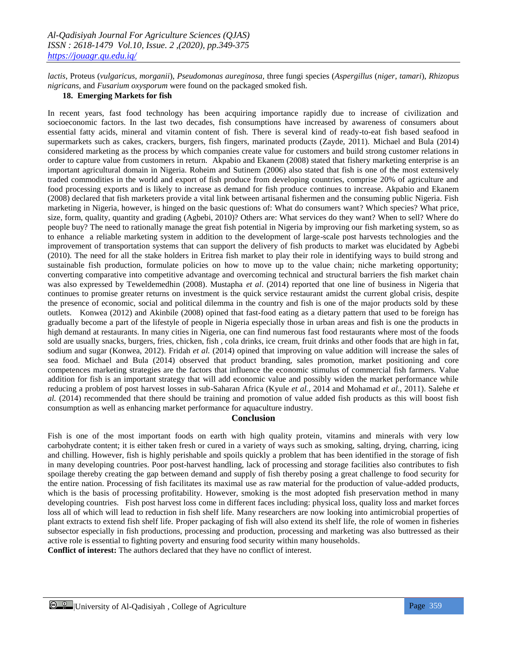*lactis*, Proteus (*vulgaricus*, *morganii*), *Pseudomonas aureginosa,* three fungi species (*Aspergillus* (*niger*, *tamari*), *Rhizopus nigricans*, and *Fusarium oxysporum* were found on the packaged smoked fish.

#### **18. Emerging Markets for fish**

In recent years, fast food technology has been acquiring importance rapidly due to increase of civilization and socioeconomic factors. In the last two decades, fish consumptions have increased by awareness of consumers about essential fatty acids, mineral and vitamin content of fish. There is several kind of ready-to-eat fish based seafood in supermarkets such as cakes, crackers, burgers, fish fingers, marinated products (Zayde, 2011). Michael and Bula (2014) considered marketing as the process by which companies create value for customers and build strong customer relations in order to capture value from customers in return. Akpabio and Ekanem (2008) stated that fishery marketing enterprise is an important agricultural domain in Nigeria. Roheim and Sutinem (2006) also stated that fish is one of the most extensively traded commodities in the world and export of fish produce from developing countries, comprise 20% of agriculture and food processing exports and is likely to increase as demand for fish produce continues to increase. Akpabio and Ekanem (2008) declared that fish marketers provide a vital link between artisanal fishermen and the consuming public Nigeria. Fish marketing in Nigeria, however, is hinged on the basic questions of: What do consumers want? Which species? What price, size, form, quality, quantity and grading (Agbebi, 2010)? Others are: What services do they want? When to sell? Where do people buy? The need to rationally manage the great fish potential in Nigeria by improving our fish marketing system, so as to enhance a reliable marketing system in addition to the development of large-scale post harvests technologies and the improvement of transportation systems that can support the delivery of fish products to market was elucidated by Agbebi (2010). The need for all the stake holders in Eritrea fish market to play their role in identifying ways to build strong and sustainable fish production, formulate policies on how to move up to the value chain; niche marketing opportunity; converting comparative into competitive advantage and overcoming technical and structural barriers the fish market chain was also expressed by Teweldemedhin (2008). Mustapha *et al*. (2014) reported that one line of business in Nigeria that continues to promise greater returns on investment is the quick service restaurant amidst the current global crisis, despite the presence of economic, social and political dilemma in the country and fish is one of the major products sold by these outlets. Konwea (2012) and Akinbile (2008) opined that fast-food eating as a dietary pattern that used to be foreign has gradually become a part of the lifestyle of people in Nigeria especially those in urban areas and fish is one the products in high demand at restaurants. In many cities in Nigeria, one can find numerous fast food restaurants where most of the foods sold are usually snacks, burgers, fries, chicken, fish , cola drinks, ice cream, fruit drinks and other foods that are high in fat, sodium and sugar (Konwea, 2012). Fridah *et al.* (2014) opined that improving on value addition will increase the sales of sea food. Michael and Bula (2014) observed that product branding, sales promotion, market positioning and core competences marketing strategies are the factors that influence the economic stimulus of commercial fish farmers. Value addition for fish is an important strategy that will add economic value and possibly widen the market performance while reducing a problem of post harvest losses in sub-Saharan Africa (Kyule *et al.*, 2014 and Mohamad *et al.*, 2011). Salehe *et al.* (2014) recommended that there should be training and promotion of value added fish products as this will boost fish consumption as well as enhancing market performance for aquaculture industry.

#### **Conclusion**

Fish is one of the most important foods on earth with high quality protein, vitamins and minerals with very low carbohydrate content; it is either taken fresh or cured in a variety of ways such as smoking, salting, drying, charring, icing and chilling. However, fish is highly perishable and spoils quickly a problem that has been identified in the storage of fish in many developing countries. Poor post-harvest handling, lack of processing and storage facilities also contributes to fish spoilage thereby creating the gap between demand and supply of fish thereby posing a great challenge to food security for the entire nation. Processing of fish facilitates its maximal use as raw material for the production of value-added products, which is the basis of processing profitability. However, smoking is the most adopted fish preservation method in many developing countries. Fish post harvest loss come in different faces including: physical loss, quality loss and market forces loss all of which will lead to reduction in fish shelf life. Many researchers are now looking into antimicrobial properties of plant extracts to extend fish shelf life. Proper packaging of fish will also extend its shelf life, the role of women in fisheries subsector especially in fish productions, processing and production, processing and marketing was also buttressed as their active role is essential to fighting poverty and ensuring food security within many households.

**Conflict of interest:** The authors declared that they have no conflict of interest.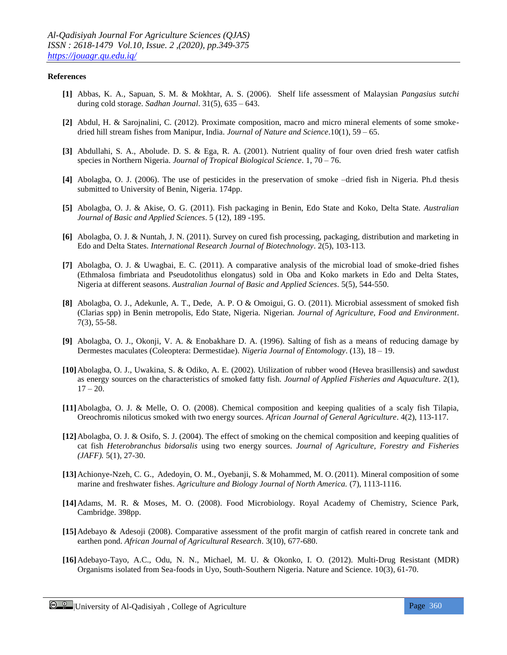#### **References**

- **[1]** Abbas, K. A., Sapuan, S. M. & Mokhtar, A. S. (2006). Shelf life assessment of Malaysian *Pangasius sutchi*  during cold storage. *Sadhan Journal*. 31(5), 635 – 643.
- **[2]** Abdul, H. & Sarojnalini, C. (2012). Proximate composition, macro and micro mineral elements of some smokedried hill stream fishes from Manipur, India. *Journal of Nature and Science*.10(1), 59 – 65.
- **[3]** Abdullahi, S. A., Abolude. D. S. & Ega, R. A. (2001). Nutrient quality of four oven dried fresh water catfish species in Northern Nigeria. *Journal of Tropical Biological Science*. 1, 70 – 76.
- **[4]** Abolagba, O. J. (2006). The use of pesticides in the preservation of smoke –dried fish in Nigeria. Ph.d thesis submitted to University of Benin, Nigeria. 174pp.
- **[5]** Abolagba, O. J. & Akise, O. G. (2011). Fish packaging in Benin, Edo State and Koko, Delta State. *Australian Journal of Basic and Applied Sciences*. 5 (12), 189 -195.
- **[6]** Abolagba, O. J. & Nuntah, J. N. (2011). Survey on cured fish processing, packaging, distribution and marketing in Edo and Delta States. *International Research Journal of Biotechnology*. 2(5), 103-113.
- **[7]** Abolagba, O. J. & Uwagbai, E. C. (2011). A comparative analysis of the microbial load of smoke-dried fishes (Ethmalosa fimbriata and Pseudotolithus elongatus) sold in Oba and Koko markets in Edo and Delta States, Nigeria at different seasons. *Australian Journal of Basic and Applied Sciences*. 5(5), 544-550.
- **[8]** Abolagba, O. J., Adekunle, A. T., Dede, A. P. O & Omoigui, G. O. (2011). Microbial assessment of smoked fish (Clarias spp) in Benin metropolis, Edo State, Nigeria. Nigerian. *Journal of Agriculture, Food and Environment*. 7(3), 55-58.
- **[9]** Abolagba, O. J., Okonji, V. A. & Enobakhare D. A. (1996). Salting of fish as a means of reducing damage by Dermestes maculates (Coleoptera: Dermestidae). *Nigeria Journal of Entomology*. (13), 18 – 19.
- **[10]**Abolagba, O. J., Uwakina, S. & Odiko, A. E. (2002). Utilization of rubber wood (Hevea brasillensis) and sawdust as energy sources on the characteristics of smoked fatty fish. *Journal of Applied Fisheries and Aquaculture*. 2(1),  $17 - 20.$
- **[11]**Abolagba, O. J. & Melle, O. O. (2008). Chemical composition and keeping qualities of a scaly fish Tilapia, Oreochromis niloticus smoked with two energy sources. *African Journal of General Agriculture*. 4(2), 113-117.
- **[12]**Abolagba, O. J. & Osifo, S. J. (2004). The effect of smoking on the chemical composition and keeping qualities of cat fish *Heterobranchus bidorsalis* using two energy sources. *Journal of Agriculture, Forestry and Fisheries (JAFF).* 5(1), 27-30.
- **[13]**Achionye-Nzeh, C. G., Adedoyin, O. M., Oyebanji, S. & Mohammed, M. O. (2011). Mineral composition of some marine and freshwater fishes. *Agriculture and Biology Journal of North America.* (7), 1113-1116.
- **[14]**Adams, M. R. & Moses, M. O. (2008). Food Microbiology. Royal Academy of Chemistry, Science Park, Cambridge. 398pp.
- **[15]**Adebayo & Adesoji (2008). Comparative assessment of the profit margin of catfish reared in concrete tank and earthen pond. *African Journal of Agricultural Research*. 3(10), 677-680.
- **[16]**Adebayo-Tayo, A.C., Odu, N. N., Michael, M. U. & Okonko, I. O. (2012). Multi-Drug Resistant (MDR) Organisms isolated from Sea-foods in Uyo, South-Southern Nigeria. Nature and Science. 10(3), 61-70.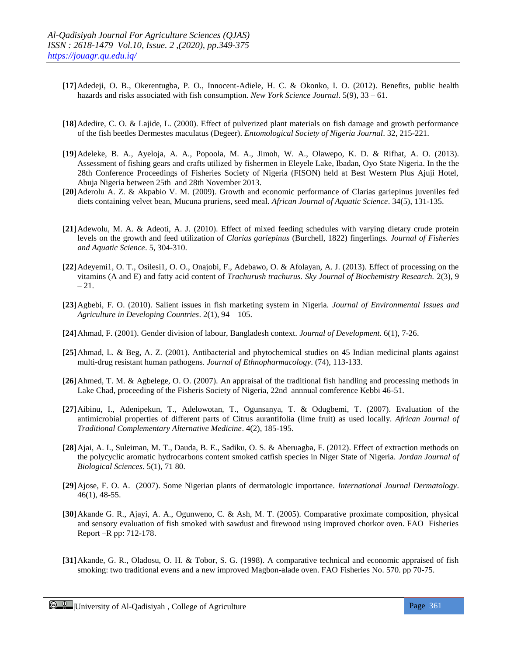- **[17]**Adedeji, O. B., Okerentugba, P. O., Innocent-Adiele, H. C. & Okonko, I. O. (2012). Benefits, public health hazards and risks associated with fish consumption. *New York Science Journal*. 5(9), 33 – 61.
- **[18]**Adedire, C. O. & Lajide, L. (2000). Effect of pulverized plant materials on fish damage and growth performance of the fish beetles Dermestes maculatus (Degeer). *Entomological Society of Nigeria Journal*. 32, 215-221.
- **[19]**Adeleke, B. A., Ayeloja, A. A., Popoola, M. A., Jimoh, W. A., Olawepo, K. D. & Rifhat, A. O. (2013). Assessment of fishing gears and crafts utilized by fishermen in Eleyele Lake, Ibadan, Oyo State Nigeria. In the the 28th Conference Proceedings of Fisheries Society of Nigeria (FISON) held at Best Western Plus Ajuji Hotel, Abuja Nigeria between 25th and 28th November 2013.
- **[20]**Aderolu A. Z. & Akpabio V. M. (2009). Growth and economic performance of Clarias gariepinus juveniles fed diets containing velvet bean, Mucuna pruriens, seed meal. *African Journal of Aquatic Science*. 34(5), 131-135.
- **[21]**Adewolu, M. A. & Adeoti, A. J. (2010). Effect of mixed feeding schedules with varying dietary crude protein levels on the growth and feed utilization of *Clarias gariepinus* (Burchell, 1822) fingerlings. *Journal of Fisheries and Aquatic Science*. 5, 304-310.
- **[22]**Adeyemi1, O. T., Osilesi1, O. O., Onajobi, F., Adebawo, O. & Afolayan, A. J. (2013). Effect of processing on the vitamins (A and E) and fatty acid content of *Trachurush trachurus. Sky Journal of Biochemistry Research.* 2(3), 9 – 21.
- **[23]**Agbebi, F. O. (2010). Salient issues in fish marketing system in Nigeria. *Journal of Environmental Issues and Agriculture in Developing Countries*. 2(1), 94 – 105.
- **[24]**Ahmad, F. (2001). Gender division of labour, Bangladesh context. *Journal of Development*. 6(1), 7-26.
- **[25]**Ahmad, L. & Beg, A. Z. (2001). Antibacterial and phytochemical studies on 45 Indian medicinal plants against multi-drug resistant human pathogens. *Journal of Ethnopharmacology*. (74), 113-133.
- **[26]**Ahmed, T. M. & Agbelege, O. O. (2007). An appraisal of the traditional fish handling and processing methods in Lake Chad, proceeding of the Fisheris Society of Nigeria, 22nd annnual comference Kebbi 46-51.
- **[27]**Aibinu, I., Adenipekun, T., Adelowotan, T., Ogunsanya, T. & Odugbemi, T. (2007). Evaluation of the antimicrobial properties of different parts of Citrus aurantifolia (lime fruit) as used locally. *African Journal of Traditional Complementary Alternative Medicine*. 4(2), 185-195.
- **[28]**Ajai, A. I., Suleiman, M. T., Dauda, B. E., Sadiku, O. S. & Aberuagba, F. (2012). Effect of extraction methods on the polycyclic aromatic hydrocarbons content smoked catfish species in Niger State of Nigeria. *Jordan Journal of Biological Sciences*. 5(1), 71 80.
- **[29]**Ajose, F. O. A. (2007). Some Nigerian plants of dermatologic importance. *International Journal Dermatology*. 46(1), 48-55.
- **[30]**Akande G. R., Ajayi, A. A., Ogunweno, C. & Ash, M. T. (2005). Comparative proximate composition, physical and sensory evaluation of fish smoked with sawdust and firewood using improved chorkor oven. FAO Fisheries Report –R pp: 712-178.
- **[31]**Akande, G. R., Oladosu, O. H. & Tobor, S. G. (1998). A comparative technical and economic appraised of fish smoking: two traditional evens and a new improved Magbon-alade oven. FAO Fisheries No. 570. pp 70-75.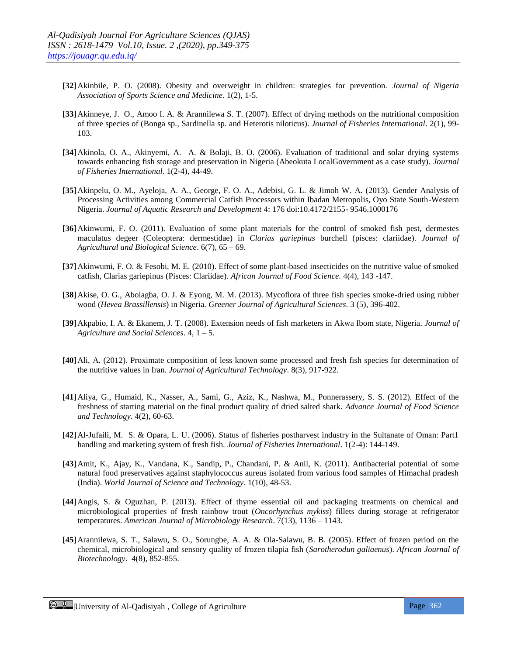- **[32]**Akinbile, P. O. (2008). Obesity and overweight in children: strategies for prevention. *Journal of Nigeria Association of Sports Science and Medicine*. 1(2), 1-5.
- **[33]**Akinneye, J. O., Amoo I. A. & Arannilewa S. T. (2007). Effect of drying methods on the nutritional composition of three species of (Bonga sp., Sardinella sp. and Heterotis niloticus). *Journal of Fisheries International*. 2(1), 99- 103.
- **[34]**Akinola, O. A., Akinyemi, A. A. & Bolaji, B. O. (2006). Evaluation of traditional and solar drying systems towards enhancing fish storage and preservation in Nigeria (Abeokuta LocalGovernment as a case study). *Journal of Fisheries International*. 1(2-4), 44-49.
- **[35]**Akinpelu, O. M., Ayeloja, A. A., George, F. O. A., Adebisi, G. L. & Jimoh W. A. (2013). Gender Analysis of Processing Activities among Commercial Catfish Processors within Ibadan Metropolis, Oyo State South-Western Nigeria. *Journal of Aquatic Research and Development* 4: 176 doi:10.4172/2155- 9546.1000176
- **[36]**Akinwumi, F. O. (2011). Evaluation of some plant materials for the control of smoked fish pest, dermestes maculatus degeer (Coleoptera: dermestidae) in *Clarias gariepinus* burchell (pisces: clariidae). *Journal of Agricultural and Biological Science*. 6(7), 65 – 69.
- **[37]**Akinwumi, F. O. & Fesobi, M. E. (2010). Effect of some plant-based insecticides on the nutritive value of smoked catfish, Clarias gariepinus (Pisces: Clariidae). *African Journal of Food Science*. 4(4), 143 -147.
- **[38]**Akise, O. G., Abolagba, O. J. & Eyong, M. M. (2013). Mycoflora of three fish species smoke-dried using rubber wood (*Hevea Brassillensis*) in Nigeria. *Greener Journal of Agricultural Sciences*. 3 (5), 396-402.
- **[39]**Akpabio, I. A. & Ekanem, J. T. (2008). Extension needs of fish marketers in Akwa Ibom state, Nigeria. *Journal of Agriculture and Social Sciences*. 4, 1 – 5.
- **[40]**Ali, A. (2012). Proximate composition of less known some processed and fresh fish species for determination of the nutritive values in Iran. *Journal of Agricultural Technology*. 8(3), 917-922.
- **[41]**Aliya, G., Humaid, K., Nasser, A., Sami, G., Aziz, K., Nashwa, M., Ponnerassery, S. S. (2012). Effect of the freshness of starting material on the final product quality of dried salted shark. *Advance Journal of Food Science and Technology*. 4(2), 60-63.
- **[42]**Al-Jufaili, M. S. & Opara, L. U. (2006). Status of fisheries postharvest industry in the Sultanate of Oman: Part1 handling and marketing system of fresh fish. *Journal of Fisheries International*. 1(2-4): 144-149.
- **[43]**Amit, K., Ajay, K., Vandana, K., Sandip, P., Chandani, P. & Anil, K. (2011). Antibacterial potential of some natural food preservatives against staphylococcus aureus isolated from various food samples of Himachal pradesh (India). *World Journal of Science and Technology*. 1(10), 48-53.
- **[44]**Angis, S. & Oguzhan, P. (2013). Effect of thyme essential oil and packaging treatments on chemical and microbiological properties of fresh rainbow trout (*Oncorhynchus mykiss*) fillets during storage at refrigerator temperatures. *American Journal of Microbiology Research*. 7(13), 1136 – 1143.
- **[45]**Arannilewa, S. T., Salawu, S. O., Sorungbe, A. A. & Ola-Salawu, B. B. (2005). Effect of frozen period on the chemical, microbiological and sensory quality of frozen tilapia fish (*Sarotherodun galiaenus*). *African Journal of Biotechnology*. 4(8), 852-855.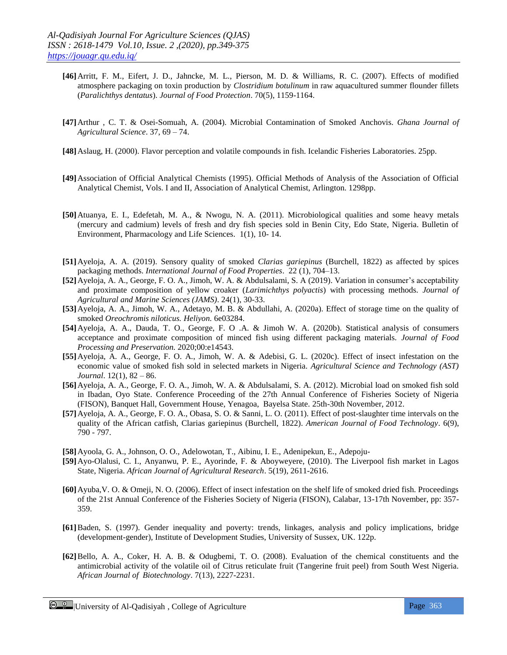- **[46]**Arritt, F. M., Eifert, J. D., Jahncke, M. L., Pierson, M. D. & Williams, R. C. (2007). Effects of modified atmosphere packaging on toxin production by *Clostridium botulinum* in raw aquacultured summer flounder fillets (*Paralichthys dentatus*). *Journal of Food Protection*. 70(5), 1159-1164.
- **[47]**Arthur , C. T. & Osei-Somuah, A. (2004). Microbial Contamination of Smoked Anchovis. *Ghana Journal of Agricultural Science*. 37, 69 – 74.
- **[48]**Aslaug, H. (2000). Flavor perception and volatile compounds in fish. Icelandic Fisheries Laboratories. 25pp.
- **[49]**Association of Official Analytical Chemists (1995). Official Methods of Analysis of the Association of Official Analytical Chemist, Vols. I and II, Association of Analytical Chemist, Arlington. 1298pp.
- **[50]**Atuanya, E. I., Edefetah, M. A., & Nwogu, N. A. (2011). Microbiological qualities and some heavy metals (mercury and cadmium) levels of fresh and dry fish species sold in Benin City, Edo State, Nigeria. Bulletin of Environment, Pharmacology and Life Sciences. 1(1), 10- 14.
- **[51]**Ayeloja, A. A. (2019). Sensory quality of smoked *Clarias gariepinus* (Burchell, 1822) as affected by spices packaging methods. *International Journal of Food Properties*. 22 (1), 704–13.
- **[52]**Ayeloja, A. A., George, F. O. A., Jimoh, W. A. & Abdulsalami, S. A (2019). Variation in consumer's acceptability and proximate composition of yellow croaker (*Larimichthys polyactis*) with processing methods. *Journal of Agricultural and Marine Sciences (JAMS)*. 24(1), 30-33.
- **[53]**Ayeloja, A. A., Jimoh, W. A., Adetayo, M. B. & Abdullahi, A. (2020a). Effect of storage time on the quality of smoked *Oreochromis niloticus. Heliyon.* 6e03284.
- **[54]**Ayeloja, A. A., Dauda, T. O., George, F. O .A. & Jimoh W. A. (2020b). Statistical analysis of consumers acceptance and proximate composition of minced fish using different packaging materials. *Journal of Food Processing and Preservation.* 2020;00:e14543.
- **[55]**Ayeloja, A. A., George, F. O. A., Jimoh, W. A. & Adebisi, G. L. (2020c). Еffect of insect infestation on the economic value of smoked fish sold in selected markets in Nigeria. *Agricultural Science and Technology (AST) Journal*. 12(1), 82 – 86.
- **[56]**Ayeloja, A. A., George, F. O. A., Jimoh, W. A. & Abdulsalami, S. A. (2012). Microbial load on smoked fish sold in Ibadan, Oyo State. Conference Proceeding of the 27th Annual Conference of Fisheries Society of Nigeria (FISON), Banquet Hall, Government House, Yenagoa, Bayelsa State. 25th-30th November, 2012.
- **[57]**Ayeloja, A. A., George, F. O. A., Obasa, S. O. & Sanni, L. O. (2011). Effect of post-slaughter time intervals on the quality of the African catfish, Clarias gariepinus (Burchell, 1822). *American Journal of Food Technology*. 6(9), 790 - 797.
- **[58]**Ayoola, G. A., Johnson, O. O., Adelowotan, T., Aibinu, I. E., Adenipekun, E., Adepoju-
- **[59]**Ayo-Olalusi, C. I., Anyanwu, P. E., Ayorinde, F. & Aboyweyere, (2010). The Liverpool fish market in Lagos State, Nigeria. *African Journal of Agricultural Research*. 5(19), 2611-2616.
- **[60]**Ayuba,V. O. & Omeji, N. O. (2006). Effect of insect infestation on the shelf life of smoked dried fish. Proceedings of the 21st Annual Conference of the Fisheries Society of Nigeria (FISON), Calabar, 13-17th November, pp: 357- 359.
- **[61]**Baden, S. (1997). Gender inequality and poverty: trends, linkages, analysis and policy implications, bridge (development-gender), Institute of Development Studies, University of Sussex, UK. 122p.
- **[62]**Bello, A. A., Coker, H. A. B. & Odugbemi, T. O. (2008). Evaluation of the chemical constituents and the antimicrobial activity of the volatile oil of Citrus reticulate fruit (Tangerine fruit peel) from South West Nigeria. *African Journal of Biotechnology*. 7(13), 2227-2231.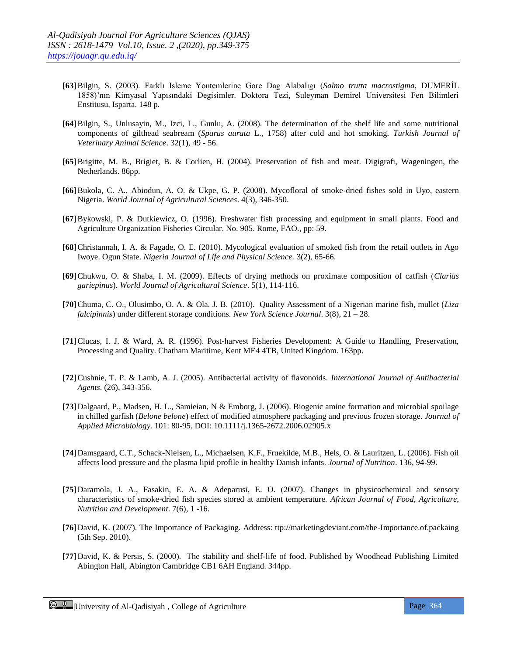- **[63]**Bilgin, S. (2003). Farklı Isleme Yontemlerine Gore Dag Alabalıgı (*Salmo trutta macrostigma*, DUMERİL 1858)'nın Kimyasal Yapısındaki Degisimler. Doktora Tezi, Suleyman Demirel Universitesi Fen Bilimleri Enstitusu, Isparta. 148 p.
- **[64]**Bilgin, S., Unlusayin, M., Izci, L., Gunlu, A. (2008). The determination of the shelf life and some nutritional components of gilthead seabream (*Sparus aurata* L., 1758) after cold and hot smoking. *Turkish Journal of Veterinary Animal Science*. 32(1), 49 - 56.
- **[65]**Brigitte, M. B., Brigiet, B. & Corlien, H. (2004). Preservation of fish and meat. Digigrafi, Wageningen, the Netherlands. 86pp.
- **[66]**Bukola, C. A., Abiodun, A. O. & Ukpe, G. P. (2008). Mycofloral of smoke-dried fishes sold in Uyo, eastern Nigeria. *World Journal of Agricultural Sciences*. 4(3), 346-350.
- **[67]**Bykowski, P. & Dutkiewicz, O. (1996). Freshwater fish processing and equipment in small plants. Food and Agriculture Organization Fisheries Circular. No. 905. Rome, FAO., pp: 59.
- **[68]**Christannah, I. A. & Fagade, O. E. (2010). Mycological evaluation of smoked fish from the retail outlets in Ago Iwoye. Ogun State. *Nigeria Journal of Life and Physical Science.* 3(2), 65-66.
- **[69]**Chukwu, O. & Shaba, I. M. (2009). Effects of drying methods on proximate composition of catfish (*Clarias gariepinus*). *World Journal of Agricultural Science*. 5(1), 114-116.
- **[70]**Chuma, C. O., Olusimbo, O. A. & Ola. J. B. (2010). Quality Assessment of a Nigerian marine fish, mullet (*Liza falcipinnis*) under different storage conditions. *New York Science Journal*. 3(8), 21 – 28.
- **[71]**Clucas, I. J. & Ward, A. R. (1996). Post-harvest Fisheries Development: A Guide to Handling, Preservation, Processing and Quality. Chatham Maritime, Kent ME4 4TB, United Kingdom. 163pp.
- **[72]**Cushnie, T. P. & Lamb, A. J. (2005). Antibacterial activity of flavonoids. *International Journal of Antibacterial Agents*. (26), 343-356.
- **[73]**Dalgaard, P., Madsen, H. L., Samieian, N & Emborg, J. (2006). Biogenic amine formation and microbial spoilage in chilled garfish (*Belone belone*) effect of modified atmosphere packaging and previous frozen storage. *Journal of Applied Microbiology.* 101: 80-95. DOI: 10.1111/j.1365-2672.2006.02905.x
- **[74]**Damsgaard, C.T., Schack-Nielsen, L., Michaelsen, K.F., Fruekilde, M.B., Hels, O. & Lauritzen, L. (2006). Fish oil affects lood pressure and the plasma lipid profile in healthy Danish infants. *Journal of Nutrition*. 136, 94-99.
- **[75]**Daramola, J. A., Fasakin, E. A. & Adeparusi, E. O. (2007). Changes in physicochemical and sensory characteristics of smoke-dried fish species stored at ambient temperature. *African Journal of Food, Agriculture, Nutrition and Development*. 7(6), 1 -16.
- **[76]**David, K. (2007). The Importance of Packaging. Address: ttp://marketingdeviant.com/the-Importance.of.packaing (5th Sep. 2010).
- **[77]**David, K. & Persis, S. (2000). The stability and shelf-life of food. Published by Woodhead Publishing Limited Abington Hall, Abington Cambridge CB1 6AH England. 344pp.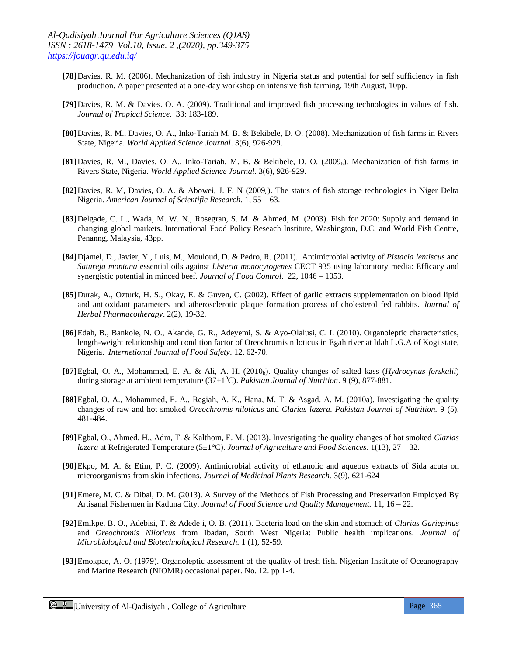- **[78]**Davies, R. M. (2006). Mechanization of fish industry in Nigeria status and potential for self sufficiency in fish production. A paper presented at a one-day workshop on intensive fish farming. 19th August, 10pp.
- **[79]**Davies, R. M. & Davies. O. A. (2009). Traditional and improved fish processing technologies in values of fish. *Journal of Tropical Science*. 33: 183-189.
- **[80]**Davies, R. M., Davies, O. A., Inko-Tariah M. B. & Bekibele, D. O. (2008). Mechanization of fish farms in Rivers State, Nigeria. *World Applied Science Journal*. 3(6), 926-929.
- **[81]**Davies, R. M., Davies, O. A., Inko-Tariah, M. B. & Bekibele, D. O. (2009<sub>b</sub>). Mechanization of fish farms in Rivers State, Nigeria. *World Applied Science Journal*. 3(6), 926-929.
- **[82]**Davies, R. M, Davies, O. A. & Abowei, J. F. N (2009<sub>a</sub>). The status of fish storage technologies in Niger Delta Nigeria. *American Journal of Scientific Research.* 1, 55 – 63.
- **[83]**Delgade, C. L., Wada, M. W. N., Rosegran, S. M. & Ahmed, M. (2003). Fish for 2020: Supply and demand in changing global markets. International Food Policy Reseach Institute, Washington, D.C. and World Fish Centre, Penanng, Malaysia, 43pp.
- **[84]**Djamel, D., Javier, Y., Luis, M., Mouloud, D. & Pedro, R. (2011). Antimicrobial activity of *Pistacia lentiscus* and *Satureja montana* essential oils against *Listeria monocytogenes* CECT 935 using laboratory media: Efficacy and synergistic potential in minced beef. *Journal of Food Control*. 22, 1046 – 1053.
- **[85]**Durak, A., Ozturk, H. S., Okay, E. & Guven, C. (2002). Effect of garlic extracts supplementation on blood lipid and antioxidant parameters and atherosclerotic plaque formation process of cholesterol fed rabbits. *Journal of Herbal Pharmacotherapy*. 2(2), 19-32.
- **[86]**Edah, B., Bankole, N. O., Akande, G. R., Adeyemi, S. & Ayo-Olalusi, C. I. (2010). Organoleptic characteristics, length-weight relationship and condition factor of Oreochromis niloticus in Egah river at Idah L.G.A of Kogi state, Nigeria. *Internetional Journal of Food Safety*. 12, 62-70.
- **[87]**Egbal, O. A., Mohammed, E. A. & Ali, A. H. (2010b). Quality changes of salted kass (*Hydrocynus forskalii*) during storage at ambient temperature (37±1<sup>o</sup>C). *Pakistan Journal of Nutrition*. 9 (9), 877-881.
- **[88]**Egbal, O. A., Mohammed, E. A., Regiah, A. K., Hana, M. T. & Asgad. A. M. (2010a). Investigating the quality changes of raw and hot smoked *Oreochromis niloticus* and *Clarias lazera. Pakistan Journal of Nutrition.* 9 (5), 481-484.
- **[89]**Egbal, O., Ahmed, H., Adm, T. & Kalthom, E. M. (2013). Investigating the quality changes of hot smoked *Clarias lazera* at Refrigerated Temperature (5±1°C). *Journal of Agriculture and Food Sciences*. 1(13), 27 – 32.
- **[90]**Ekpo, M. A. & Etim, P. C. (2009). Antimicrobial activity of ethanolic and aqueous extracts of Sida acuta on microorganisms from skin infections. *Journal of Medicinal Plants Research.* 3(9), 621-624
- **[91]**Emere, M. C. & Dibal, D. M. (2013). A Survey of the Methods of Fish Processing and Preservation Employed By Artisanal Fishermen in Kaduna City. *Journal of Food Science and Quality Management.* 11, 16 – 22.
- **[92]**Emikpe, B. O., Adebisi, T. & Adedeji, O. B. (2011). Bacteria load on the skin and stomach of *Clarias Gariepinus*  and *Oreochromis Niloticus* from Ibadan, South West Nigeria: Public health implications. *Journal of Microbiological and Biotechnological Research.* 1 (1), 52-59.
- **[93]**Emokpae, A. O. (1979). Organoleptic assessment of the quality of fresh fish. Nigerian Institute of Oceanography and Marine Research (NIOMR) occasional paper. No. 12. pp 1-4.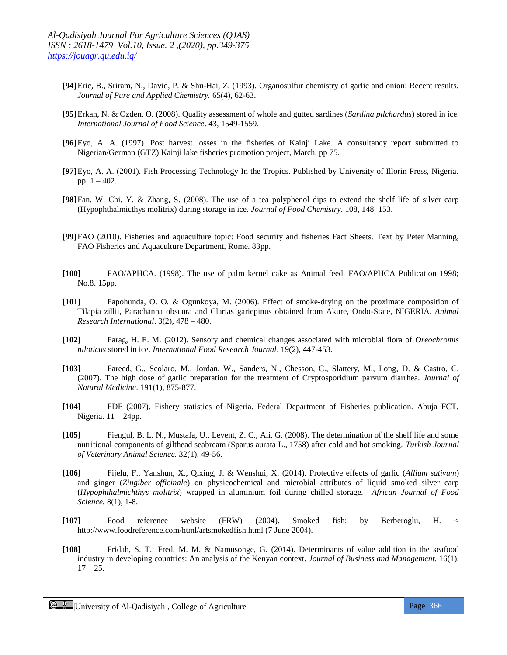- **[94]**Eric, B., Sriram, N., David, P. & Shu-Hai, Z. (1993). Organosulfur chemistry of garlic and onion: Recent results. *Journal of Pure and Applied Chemistry.* 65(4), 62-63.
- **[95]**Erkan, N. & Ozden, O. (2008). Quality assessment of whole and gutted sardines (*Sardina pilchardus*) stored in ice. *International Journal of Food Science*. 43, 1549-1559.
- **[96]**Eyo, A. A. (1997). Post harvest losses in the fisheries of Kainji Lake. A consultancy report submitted to Nigerian/German (GTZ) Kainji lake fisheries promotion project, March, pp 75.
- **[97]**Eyo, A. A. (2001). Fish Processing Technology In the Tropics. Published by University of Illorin Press, Nigeria. pp. 1 – 402.
- **[98]**Fan, W. Chi, Y. & Zhang, S. (2008). The use of a tea polyphenol dips to extend the shelf life of silver carp (Hypophthalmicthys molitrix) during storage in ice. *Journal of Food Chemistry*. 108, 148–153.
- **[99]**FAO (2010). Fisheries and aquaculture topic: Food security and fisheries Fact Sheets. Text by Peter Manning, FAO Fisheries and Aquaculture Department, Rome. 83pp.
- **[100]** FAO/APHCA. (1998). The use of palm kernel cake as Animal feed. FAO/APHCA Publication 1998; No.8. 15pp.
- **[101]** Fapohunda, O. O. & Ogunkoya, M. (2006). Effect of smoke-drying on the proximate composition of Tilapia zillii, Parachanna obscura and Clarias gariepinus obtained from Akure, Ondo-State, NIGERIA. *Animal Research International*. 3(2), 478 – 480.
- **[102]** Farag, H. E. M. (2012). Sensory and chemical changes associated with microbial flora of *Oreochromis niloticus* stored in ice. *International Food Research Journal*. 19(2), 447-453.
- **[103]** Fareed, G., Scolaro, M., Jordan, W., Sanders, N., Chesson, C., Slattery, M., Long, D. & Castro, C. (2007). The high dose of garlic preparation for the treatment of Cryptosporidium parvum diarrhea. *Journal of Natural Medicine*. 191(1), 875-877.
- **[104]** FDF (2007). Fishery statistics of Nigeria. Federal Department of Fisheries publication. Abuja FCT, Nigeria.  $11 - 24$ pp.
- **[105]** Fiengul, B. L. N., Mustafa, U., Levent, Z. C., Ali, G. (2008). The determination of the shelf life and some nutritional components of gilthead seabream (Sparus aurata L., 1758) after cold and hot smoking. *Turkish Journal of Veterinary Animal Science.* 32(1), 49-56.
- **[106]** Fijelu, F., Yanshun, X., Qixing, J. & Wenshui, X. (2014). Protective effects of garlic (*Allium sativum*) and ginger (*Zingiber officinale*) on physicochemical and microbial attributes of liquid smoked silver carp (*Hypophthalmichthys molitrix*) wrapped in aluminium foil during chilled storage. *African Journal of Food Science.* 8(1), 1-8.
- **[107]** Food reference website (FRW) (2004). Smoked fish: by Berberoglu, H. < http://www.foodreference.com/html/artsmokedfish.html (7 June 2004).
- **[108]** Fridah, S. T.; Fred, M. M. & Namusonge, G. (2014). Determinants of value addition in the seafood industry in developing countries: An analysis of the Kenyan context. *Journal of Business and Management*. 16(1),  $17 - 25.$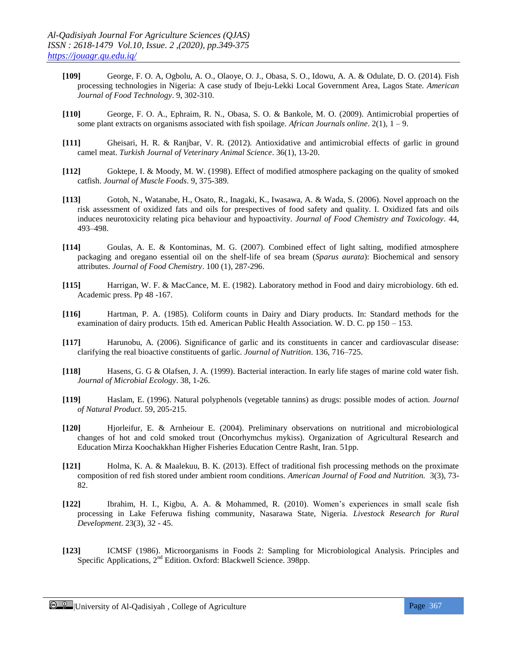- **[109]** George, F. O. A, Ogbolu, A. O., Olaoye, O. J., Obasa, S. O., Idowu, A. A. & Odulate, D. O. (2014). Fish processing technologies in Nigeria: A case study of Ibeju-Lekki Local Government Area, Lagos State. *American Journal of Food Technology*. 9, 302-310.
- **[110]** George, F. O. A., Ephraim, R. N., Obasa, S. O. & Bankole, M. O. (2009). Antimicrobial properties of some plant extracts on organisms associated with fish spoilage. *African Journals online*. 2(1), 1 – 9.
- **[111]** Gheisari, H. R. & Ranjbar, V. R. (2012). Antioxidative and antimicrobial effects of garlic in ground camel meat. *Turkish Journal of Veterinary Animal Science*. 36(1), 13-20.
- **[112]** Goktepe, I. & Moody, M. W. (1998). Effect of modified atmosphere packaging on the quality of smoked catfish. *Journal of Muscle Foods*. 9, 375-389.
- **[113]** Gotoh, N., Watanabe, H., Osato, R., Inagaki, K., Iwasawa, A. & Wada, S. (2006). Novel approach on the risk assessment of oxidized fats and oils for prespectives of food safety and quality. I. Oxidized fats and oils induces neurotoxicity relating pica behaviour and hypoactivity. *Journal of Food Chemistry and Toxicology*. 44, 493–498.
- **[114]** Goulas, A. E. & Kontominas, M. G. (2007). Combined effect of light salting, modified atmosphere packaging and oregano essential oil on the shelf-life of sea bream (*Sparus aurata*): Biochemical and sensory attributes. *Journal of Food Chemistry*. 100 (1), 287-296.
- **[115]** Harrigan, W. F. & MacCance, M. E. (1982). Laboratory method in Food and dairy microbiology. 6th ed. Academic press. Pp 48 -167.
- **[116]** Hartman, P. A. (1985). Coliform counts in Dairy and Diary products. In: Standard methods for the examination of dairy products. 15th ed. American Public Health Association. W. D. C. pp 150 – 153.
- **[117]** Harunobu, A. (2006). Significance of garlic and its constituents in cancer and cardiovascular disease: clarifying the real bioactive constituents of garlic. *Journal of Nutrition*. 136, 716–725.
- **[118]** Hasens, G. G & Olafsen, J. A. (1999). Bacterial interaction. In early life stages of marine cold water fish. *Journal of Microbial Ecology*. 38, 1-26.
- **[119]** Haslam, E. (1996). Natural polyphenols (vegetable tannins) as drugs: possible modes of action. *Journal of Natural Product*. 59, 205-215.
- **[120]** Hjorleifur, E. & Arnheiour E. (2004). Preliminary observations on nutritional and microbiological changes of hot and cold smoked trout (Oncorhymchus mykiss). Organization of Agricultural Research and Education Mirza Koochakkhan Higher Fisheries Education Centre Rasht, Iran. 51pp.
- **[121]** Holma, K. A. & Maalekuu, B. K. (2013). Effect of traditional fish processing methods on the proximate composition of red fish stored under ambient room conditions. *American Journal of Food and Nutrition.* 3(3), 73- 82.
- **[122]** Ibrahim, H. I., Kigbu, A. A. & Mohammed, R. (2010). Women's experiences in small scale fish processing in Lake Feferuwa fishing community, Nasarawa State, Nigeria. *Livestock Research for Rural Development*. 23(3), 32 - 45.
- **[123]** ICMSF (1986). Microorganisms in Foods 2: Sampling for Microbiological Analysis. Principles and Specific Applications, 2<sup>nd</sup> Edition. Oxford: Blackwell Science. 398pp.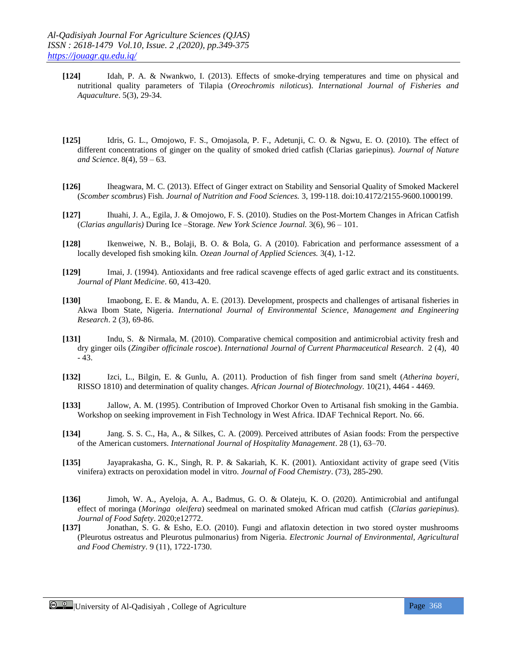- **[124]** Idah, P. A. & Nwankwo, I. (2013). Effects of smoke-drying temperatures and time on physical and nutritional quality parameters of Tilapia (*Oreochromis niloticus*). *International Journal of Fisheries and Aquaculture*. 5(3), 29-34.
- **[125]** Idris, G. L., Omojowo, F. S., Omojasola, P. F., Adetunji, C. O. & Ngwu, E. O. (2010). The effect of different concentrations of ginger on the quality of smoked dried catfish (Clarias gariepinus). *Journal of Nature and Science*. 8(4), 59 – 63.
- **[126]** Iheagwara, M. C. (2013). Effect of Ginger extract on Stability and Sensorial Quality of Smoked Mackerel (*Scomber scombrus*) Fish. *Journal of Nutrition and Food Sciences.* 3, 199-118. doi:10.4172/2155-9600.1000199.
- **[127]** Ihuahi, J. A., Egila, J. & Omojowo, F. S. (2010). Studies on the Post-Mortem Changes in African Catfish (*Clarias angullaris)* During Ice –Storage. *New York Science Journal.* 3(6), 96 – 101.
- **[128]** Ikenweiwe, N. B., Bolaji, B. O. & Bola, G. A (2010). Fabrication and performance assessment of a locally developed fish smoking kiln. *Ozean Journal of Applied Sciences.* 3(4), 1-12.
- **[129]** Imai, J. (1994). Antioxidants and free radical scavenge effects of aged garlic extract and its constituents. *Journal of Plant Medicine*. 60, 413-420.
- **[130]** Imaobong, E. E. & Mandu, A. E. (2013). Development, prospects and challenges of artisanal fisheries in Akwa Ibom State, Nigeria. *International Journal of Environmental Science, Management and Engineering Research*. 2 (3), 69-86.
- **[131]** Indu, S. & Nirmala, M. (2010). Comparative chemical composition and antimicrobial activity fresh and dry ginger oils (*Zingiber officinale roscoe*). *International Journal of Current Pharmaceutical Research*. 2 (4), 40 - 43.
- **[132]** Izci, L., Bilgin, E. & Gunlu, A. (2011). Production of fish finger from sand smelt (*Atherina boyeri*, RISSO 1810) and determination of quality changes. *African Journal of Biotechnology.* 10(21), 4464 - 4469.
- **[133]** Jallow, A. M. (1995). Contribution of Improved Chorkor Oven to Artisanal fish smoking in the Gambia. Workshop on seeking improvement in Fish Technology in West Africa. IDAF Technical Report. No. 66.
- **[134]** Jang. S. S. C., Ha, A., & Silkes, C. A. (2009). Perceived attributes of Asian foods: From the perspective of the American customers. *International Journal of Hospitality Management*. 28 (1), 63–70.
- **[135]** Jayaprakasha, G. K., Singh, R. P. & Sakariah, K. K. (2001). Antioxidant activity of grape seed (Vitis vinifera) extracts on peroxidation model in vitro. *Journal of Food Chemistry*. (73), 285-290.
- **[136]** Jimoh, W. A., Ayeloja, A. A., Badmus, G. O. & Olateju, K. O. (2020). Antimicrobial and antifungal effect of moringa (*Moringa oleifera*) seedmeal on marinated smoked African mud catfish (*Clarias gariepinus*). *Journal of Food Safety*. 2020;e12772.
- **[137]** Jonathan, S. G. & Esho, E.O. (2010). Fungi and aflatoxin detection in two stored oyster mushrooms (Pleurotus ostreatus and Pleurotus pulmonarius) from Nigeria. *Electronic Journal of Environmental, Agricultural and Food Chemistry*. 9 (11), 1722-1730.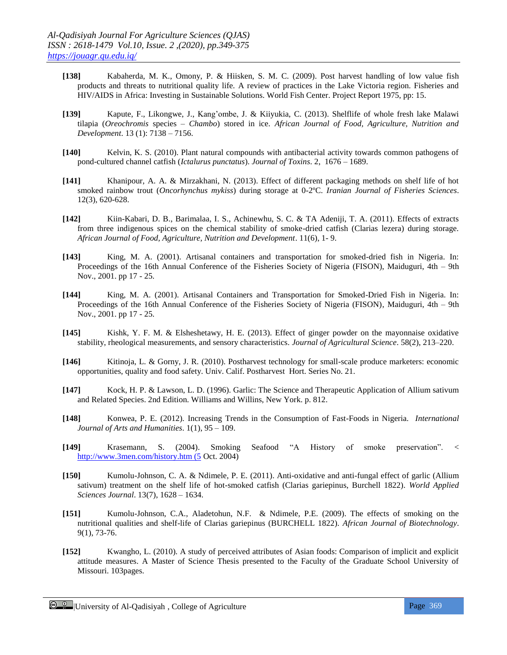- **[138]** Kabaherda, M. K., Omony, P. & Hiisken, S. M. C. (2009). Post harvest handling of low value fish products and threats to nutritional quality life. A review of practices in the Lake Victoria region. Fisheries and HIV/AIDS in Africa: Investing in Sustainable Solutions. World Fish Center. Project Report 1975, pp: 15.
- **[139]** Kapute, F., Likongwe, J., Kang'ombe, J. & Kiiyukia, C. (2013). Shelflife of whole fresh lake Malawi tilapia (*Oreochromis* species – *Chambo*) stored in ice. *African Journal of Food, Agriculture, Nutrition and Development*. 13 (1): 7138 – 7156.
- **[140]** Kelvin, K. S. (2010). Plant natural compounds with antibacterial activity towards common pathogens of pond-cultured channel catfish (*Ictalurus punctatus*). *Journal of Toxins*. 2, 1676 – 1689.
- **[141]** Khanipour, A. A. & Mirzakhani, N. (2013). Effect of different packaging methods on shelf life of hot smoked rainbow trout (*Oncorhynchus mykiss*) during storage at 0-2ºC. *Iranian Journal of Fisheries Sciences*. 12(3), 620-628.
- **[142]** Kiin-Kabari, D. B., Barimalaa, I. S., Achinewhu, S. C. & TA Adeniji, T. A. (2011). Effects of extracts from three indigenous spices on the chemical stability of smoke-dried catfish (Clarias lezera) during storage. *African Journal of Food, Agriculture, Nutrition and Development*. 11(6), 1- 9.
- **[143]** King, M. A. (2001). Artisanal containers and transportation for smoked-dried fish in Nigeria. In: Proceedings of the 16th Annual Conference of the Fisheries Society of Nigeria (FISON), Maiduguri, 4th – 9th Nov., 2001. pp 17 - 25.
- **[144]** King, M. A. (2001). Artisanal Containers and Transportation for Smoked-Dried Fish in Nigeria. In: Proceedings of the 16th Annual Conference of the Fisheries Society of Nigeria (FISON), Maiduguri, 4th – 9th Nov., 2001. pp 17 - 25.
- **[145]** Kishk, Y. F. M. & Elsheshetawy, H. E. (2013). Effect of ginger powder on the mayonnaise oxidative stability, rheological measurements, and sensory characteristics. *Journal of Agricultural Science*. 58(2), 213–220.
- **[146]** Kitinoja, L. & Gorny, J. R. (2010). Postharvest technology for small-scale produce marketers: economic opportunities, quality and food safety. Univ. Calif. Postharvest Hort. Series No. 21.
- **[147]** Kock, H. P. & Lawson, L. D. (1996). Garlic: The Science and Therapeutic Application of Allium sativum and Related Species. 2nd Edition. Williams and Willins, New York. p. 812.
- **[148]** Konwea, P. E. (2012)*.* Increasing Trends in the Consumption of Fast-Foods in Nigeria. *International Journal of Arts and Humanities*. 1(1), 95 – 109.
- **[149]** Krasemann, S. (2004). Smoking Seafood "A History of smoke preservation". < [http://www.3men.com/history.htm \(5](http://www.3men.com/history.htm%20(5) Oct. 2004)
- **[150]** Kumolu-Johnson, C. A. & Ndimele, P. E. (2011). Anti-oxidative and anti-fungal effect of garlic (Allium sativum) treatment on the shelf life of hot-smoked catfish (Clarias gariepinus, Burchell 1822). *World Applied Sciences Journal*. 13(7), 1628 – 1634.
- **[151]** Kumolu-Johnson, C.A., Aladetohun, N.F. & Ndimele, P.E. (2009). The effects of smoking on the nutritional qualities and shelf-life of Clarias gariepinus (BURCHELL 1822). *African Journal of Biotechnology*. 9(1), 73-76.
- **[152]** Kwangho, L. (2010). A study of perceived attributes of Asian foods: Comparison of implicit and explicit attitude measures. A Master of Science Thesis presented to the Faculty of the Graduate School University of Missouri. 103pages.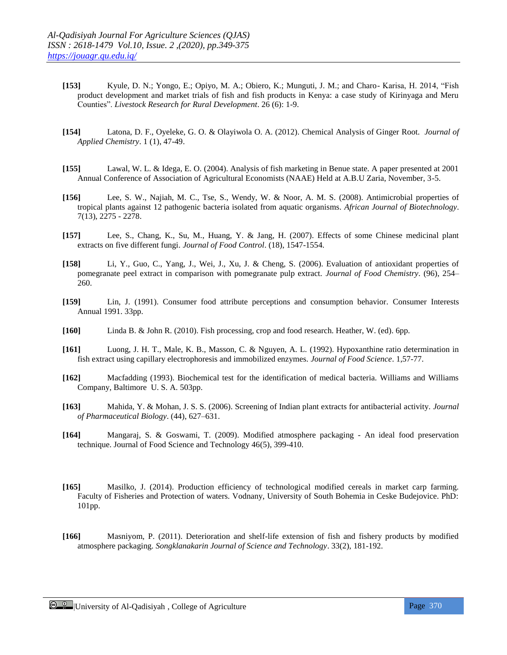- **[153]** Kyule, D. N.; Yongo, E.; Opiyo, M. A.; Obiero, K.; Munguti, J. M.; and Charo- Karisa, H. 2014, "Fish product development and market trials of fish and fish products in Kenya: a case study of Kirinyaga and Meru Counties". *Livestock Research for Rural Development*. 26 (6): 1-9.
- **[154]** Latona, D. F., Oyeleke, G. O. & Olayiwola O. A. (2012). Chemical Analysis of Ginger Root. *Journal of Applied Chemistry*. 1 (1), 47-49.
- **[155]** Lawal, W. L. & Idega, E. O. (2004). Analysis of fish marketing in Benue state. A paper presented at 2001 Annual Conference of Association of Agricultural Economists (NAAE) Held at A.B.U Zaria, November, 3-5.
- **[156]** Lee, S. W., Najiah, M. C., Tse, S., Wendy, W. & Noor, A. M. S. (2008). Antimicrobial properties of tropical plants against 12 pathogenic bacteria isolated from aquatic organisms. *African Journal of Biotechnology*. 7(13), 2275 - 2278.
- **[157]** Lee, S., Chang, K., Su, M., Huang, Y. & Jang, H. (2007). Effects of some Chinese medicinal plant extracts on five different fungi. *Journal of Food Control*. (18), 1547-1554.
- **[158]** Li, Y., Guo, C., Yang, J., Wei, J., Xu, J. & Cheng, S. (2006). Evaluation of antioxidant properties of pomegranate peel extract in comparison with pomegranate pulp extract. *Journal of Food Chemistry*. (96), 254– 260.
- **[159]** Lin, J. (1991). Consumer food attribute perceptions and consumption behavior. Consumer Interests Annual 1991. 33pp.
- **[160]** Linda B. & John R. (2010). Fish processing, crop and food research. Heather, W. (ed). 6pp.
- **[161]** Luong, J. H. T., Male, K. B., Masson, C. & Nguyen, A. L. (1992). Hypoxanthine ratio determination in fish extract using capillary electrophoresis and immobilized enzymes. *Journal of Food Science*. 1,57-77.
- **[162]** Macfadding (1993). Biochemical test for the identification of medical bacteria. Williams and Williams Company, Baltimore U. S. A. 503pp.
- **[163]** Mahida, Y. & Mohan, J. S. S. (2006). Screening of Indian plant extracts for antibacterial activity. *Journal of Pharmaceutical Biology*. (44), 627–631.
- **[164]** Mangaraj, S. & Goswami, T. (2009). Modified atmosphere packaging An ideal food preservation technique. Journal of Food Science and Technology 46(5), 399-410.
- **[165]** Masilko, J. (2014). Production efficiency of technological modified cereals in market carp farming. Faculty of Fisheries and Protection of waters. Vodnany, University of South Bohemia in Ceske Budejovice. PhD: 101pp.
- **[166]** Masniyom, P. (2011). Deterioration and shelf-life extension of fish and fishery products by modified atmosphere packaging. *Songklanakarin Journal of Science and Technology*. 33(2), 181-192.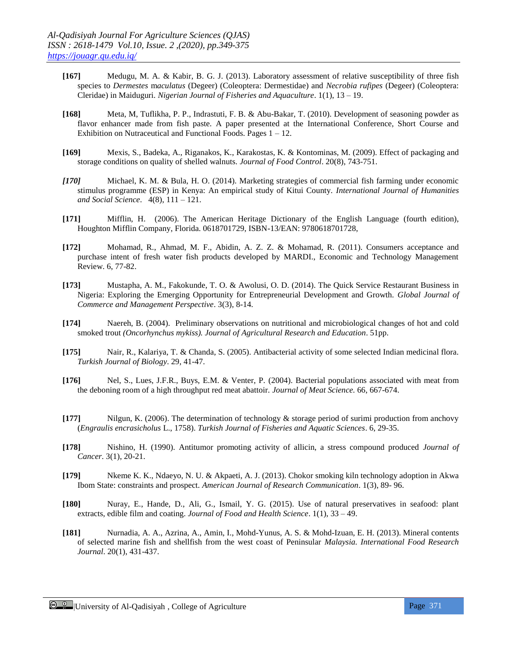- **[167]** Medugu, M. A. & Kabir, B. G. J. (2013). Laboratory assessment of relative susceptibility of three fish species to *Dermestes* m*aculatus* (Degeer) (Coleoptera: Dermestidae) and *Necrobia rufipes* (Degeer) (Coleoptera: Cleridae) in Maiduguri. *Nigerian Journal of Fisheries and Aquaculture*. 1(1), 13 – 19.
- **[168]** Meta, M, Tuflikha, P. P., Indrastuti, F. B. & Abu-Bakar, T. (2010). Development of seasoning powder as flavor enhancer made from fish paste. A paper presented at the International Conference, Short Course and Exhibition on Nutraceutical and Functional Foods. Pages  $1 - 12$ .
- **[169]** Mexis, S., Badeka, A., Riganakos, K., Karakostas, K. & Kontominas, M. (2009). Effect of packaging and storage conditions on quality of shelled walnuts. *Journal of Food Control*. 20(8), 743-751.
- *[170]* Michael, K. M. & Bula, H. O. (2014). Marketing strategies of commercial fish farming under economic stimulus programme (ESP) in Kenya: An empirical study of Kitui County. *International Journal of Humanities and Social Science*. 4(8), 111 – 121.
- **[171]** Mifflin, H. (2006). The American Heritage Dictionary of the English Language (fourth edition), Houghton Mifflin Company, Florida. 0618701729, ISBN-13/EAN: 9780618701728,
- **[172]** Mohamad, R., Ahmad, M. F., Abidin, A. Z. Z. & Mohamad, R. (2011). Consumers acceptance and purchase intent of fresh water fish products developed by MARDI., Economic and Technology Management Review. 6, 77-82.
- **[173]** Mustapha, A. M., Fakokunde, T. O. & Awolusi, O. D. (2014). The Quick Service Restaurant Business in Nigeria: Exploring the Emerging Opportunity for Entrepreneurial Development and Growth. *Global Journal of Commerce and Management Perspective*. 3(3), 8-14.
- **[174]** Naereh, B. (2004). Preliminary observations on nutritional and microbiological changes of hot and cold smoked trout *(Oncorhynchus mykiss). Journal of Agricultural Research and Education*. 51pp.
- **[175]** Nair, R., Kalariya, T. & Chanda, S. (2005). Antibacterial activity of some selected Indian medicinal flora. *Turkish Journal of Biology*. 29, 41-47.
- **[176]** Nel, S., Lues, J.F.R., Buys, E.M. & Venter, P. (2004). Bacterial populations associated with meat from the deboning room of a high throughput red meat abattoir. *Journal of Meat Science.* 66, 667-674.
- **[177]** Nilgun, K. (2006). The determination of technology & storage period of surimi production from anchovy (*Engraulis encrasicholus* L., 1758). *Turkish Journal of Fisheries and Aquatic Sciences*. 6, 29-35.
- **[178]** Nishino, H. (1990). Antitumor promoting activity of allicin, a stress compound produced *Journal of Cancer*. 3(1), 20-21.
- **[179]** Nkeme K. K., Ndaeyo, N. U. & Akpaeti, A. J. (2013). Chokor smoking kiln technology adoption in Akwa Ibom State: constraints and prospect. *American Journal of Research Communication*. 1(3), 89- 96.
- **[180]** Nuray, E., Hande, D., Ali, G., Ismail, Y. G. (2015). Use of natural preservatives in seafood: plant extracts, edible film and coating. *Journal of Food and Health Science*. 1(1), 33 – 49.
- **[181]** Nurnadia, A. A., Azrina, A., Amin, I., Mohd-Yunus, A. S. & Mohd-Izuan, E. H. (2013). Mineral contents of selected marine fish and shellfish from the west coast of Peninsular *Malaysia. International Food Research Journal*. 20(1), 431-437.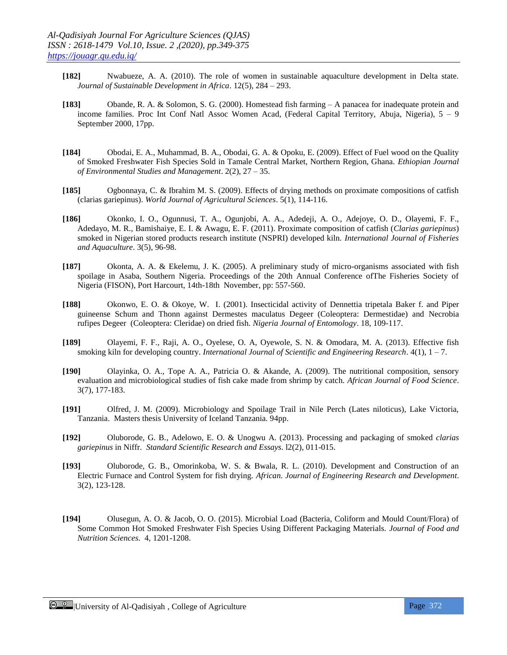- **[182]** Nwabueze, A. A. (2010). The role of women in sustainable aquaculture development in Delta state. *Journal of Sustainable Development in Africa*. 12(5), 284 – 293.
- **[183]** Obande, R. A. & Solomon, S. G. (2000). Homestead fish farming A panacea for inadequate protein and income families. Proc Int Conf Natl Assoc Women Acad, (Federal Capital Territory, Abuja, Nigeria), 5 – 9 September 2000, 17pp.
- **[184]** Obodai, E. A., Muhammad, B. A., Obodai, G. A. & Opoku, E. (2009). Effect of Fuel wood on the Quality of Smoked Freshwater Fish Species Sold in Tamale Central Market, Northern Region, Ghana. *Ethiopian Journal of Environmental Studies and Management*. 2(2), 27 – 35.
- **[185]** Ogbonnaya, C. & Ibrahim M. S. (2009). Effects of drying methods on proximate compositions of catfish (clarias gariepinus). *World Journal of Agricultural Sciences*. 5(1), 114-116.
- **[186]** Okonko, I. O., Ogunnusi, T. A., Ogunjobi, A. A., Adedeji, A. O., Adejoye, O. D., Olayemi, F. F., Adedayo, M. R., Bamishaiye, E. I. & Awagu, E. F. (2011). Proximate composition of catfish (*Clarias gariepinus*) smoked in Nigerian stored products research institute (NSPRI) developed kiln. *International Journal of Fisheries and Aquaculture*. 3(5), 96-98.
- **[187]** Okonta, A. A. & Ekelemu, J. K. (2005). A preliminary study of micro-organisms associated with fish spoilage in Asaba, Southern Nigeria. Proceedings of the 20th Annual Conference ofThe Fisheries Society of Nigeria (FISON), Port Harcourt, 14th-18th November, pp: 557-560.
- **[188]** Okonwo, E. O. & Okoye, W. I. (2001). Insecticidal activity of Dennettia tripetala Baker f. and Piper guineense Schum and Thonn against Dermestes maculatus Degeer (Coleoptera: Dermestidae) and Necrobia rufipes Degeer (Coleoptera: Cleridae) on dried fish. *Nigeria Journal of Entomology*. 18, 109-117.
- **[189]** Olayemi, F. F., Raji, A. O., Oyelese, O. A, Oyewole, S. N. & Omodara, M. A. (2013). Effective fish smoking kiln for developing country. *International Journal of Scientific and Engineering Research*. 4(1), 1 – 7.
- **[190]** Olayinka, O. A., Tope A. A., Patricia O. & Akande, A. (2009). The nutritional composition, sensory evaluation and microbiological studies of fish cake made from shrimp by catch. *African Journal of Food Science*. 3(7), 177-183.
- **[191]** Olfred, J. M. (2009). Microbiology and Spoilage Trail in Nile Perch (Lates niloticus), Lake Victoria, Tanzania. Masters thesis University of Iceland Tanzania. 94pp.
- **[192]** Oluborode, G. B., Adelowo, E. O. & Unogwu A. (2013). Processing and packaging of smoked *clarias gariepinus* in Niffr. *Standard Scientific Research and Essays*. l2(2), 011-015.
- **[193]** Oluborode, G. B., Omorinkoba, W. S. & Bwala, R. L. (2010). Development and Construction of an Electric Furnace and Control System for fish drying. *African. Journal of Engineering Research and Development*. 3(2), 123-128.
- **[194]** Olusegun, A. O. & Jacob, O. O. (2015). Microbial Load (Bacteria, Coliform and Mould Count/Flora) of Some Common Hot Smoked Freshwater Fish Species Using Different Packaging Materials. *Journal of Food and Nutrition Sciences*. 4, 1201-1208.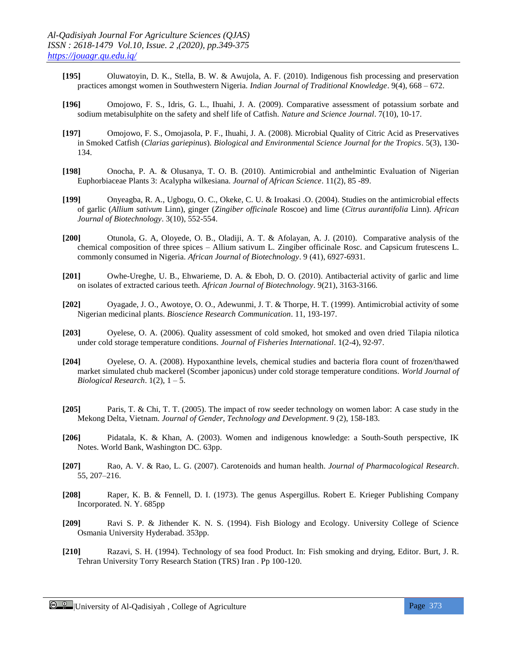- **[195]** Oluwatoyin, D. K., Stella, B. W. & Awujola, A. F. (2010). Indigenous fish processing and preservation practices amongst women in Southwestern Nigeria. *Indian Journal of Traditional Knowledge*. 9(4), 668 – 672.
- **[196]** Omojowo, F. S., Idris, G. L., Ihuahi, J. A. (2009). Comparative assessment of potassium sorbate and sodium metabisulphite on the safety and shelf life of Catfish. *Nature and Science Journal*. 7(10), 10-17.
- **[197]** Omojowo, F. S., Omojasola, P. F., Ihuahi, J. A. (2008). Microbial Quality of Citric Acid as Preservatives in Smoked Catfish (*Clarias gariepinus*). *Biological and Environmental Science Journal for the Tropics*. 5(3), 130- 134.
- **[198]** Onocha, P. A. & Olusanya, T. O. B. (2010). Antimicrobial and anthelmintic Evaluation of Nigerian Euphorbiaceae Plants 3: Acalypha wilkesiana. *Journal of African Science*. 11(2), 85 -89.
- **[199]** Onyeagba, R. A., Ugbogu, O. C., Okeke, C. U. & Iroakasi .O. (2004). Studies on the antimicrobial effects of garlic (*Allium sativum* Linn), ginger (*Zingiber officinale* Roscoe) and lime (*Citrus aurantifolia* Linn). *African Journal of Biotechnology*. 3(10), 552-554.
- **[200]** Otunola, G. A, Oloyede, O. B., Oladiji, A. T. & Afolayan, A. J. (2010). Comparative analysis of the chemical composition of three spices – Allium sativum L. Zingiber officinale Rosc. and Capsicum frutescens L. commonly consumed in Nigeria. *African Journal of Biotechnology*. 9 (41), 6927-6931.
- **[201]** Owhe-Ureghe, U. B., Ehwarieme, D. A. & Eboh, D. O. (2010). Antibacterial activity of garlic and lime on isolates of extracted carious teeth. *African Journal of Biotechnology*. 9(21), 3163-3166.
- **[202]** Oyagade, J. O., Awotoye, O. O., Adewunmi, J. T. & Thorpe, H. T. (1999). Antimicrobial activity of some Nigerian medicinal plants. *Bioscience Research Communication*. 11, 193-197.
- **[203]** Oyelese, O. A. (2006). Quality assessment of cold smoked, hot smoked and oven dried Tilapia nilotica under cold storage temperature conditions. *Journal of Fisheries International*. 1(2-4), 92-97.
- **[204]** Oyelese, O. A. (2008). Hypoxanthine levels, chemical studies and bacteria flora count of frozen/thawed market simulated chub mackerel (Scomber japonicus) under cold storage temperature conditions. *World Journal of Biological Research*. 1(2), 1 – 5.
- **[205]** Paris, T. & Chi, T. T. (2005). The impact of row seeder technology on women labor: A case study in the Mekong Delta, Vietnam. *Journal of Gender, Technology and Development*. 9 (2), 158-183.
- **[206]** Pidatala, K. & Khan, A. (2003). Women and indigenous knowledge: a South-South perspective, IK Notes. World Bank, Washington DC. 63pp.
- **[207]** Rao, A. V. & Rao, L. G. (2007). Carotenoids and human health. *Journal of Pharmacological Research*. 55, 207–216.
- **[208]** Raper, K. B. & Fennell, D. I. (1973). The genus Aspergillus. Robert E. Krieger Publishing Company Incorporated. N. Y. 685pp
- **[209]** Ravi S. P. & Jithender K. N. S. (1994). Fish Biology and Ecology. University College of Science Osmania University Hyderabad. 353pp.
- **[210]** Razavi, S. H. (1994). Technology of sea food Product. In: Fish smoking and drying, Editor. Burt, J. R. Tehran University Torry Research Station (TRS) Iran . Pp 100-120.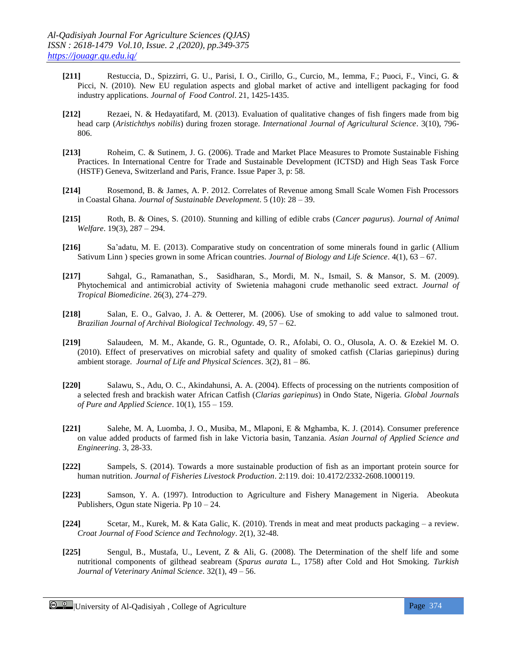- **[211]** Restuccia, D., Spizzirri, G. U., Parisi, I. O., Cirillo, G., Curcio, M., Iemma, F.; Puoci, F., Vinci, G. & Picci, N. (2010). New EU regulation aspects and global market of active and intelligent packaging for food industry applications. *Journal of Food Control*. 21, 1425-1435.
- **[212]** Rezaei, N. & Hedayatifard, M. (2013). Evaluation of qualitative changes of fish fingers made from big head carp (*Aristichthys nobilis*) during frozen storage. *International Journal of Agricultural Science*. 3(10), 796- 806.
- **[213]** Roheim, C. & Sutinem, J. G. (2006). Trade and Market Place Measures to Promote Sustainable Fishing Practices. In International Centre for Trade and Sustainable Development (ICTSD) and High Seas Task Force (HSTF) Geneva, Switzerland and Paris, France. Issue Paper 3, p: 58.
- **[214]** Rosemond, B. & James, A. P. 2012. Correlates of Revenue among Small Scale Women Fish Processors in Coastal Ghana. *Journal of Sustainable Development*. 5 (10): 28 – 39.
- **[215]** Roth, B. & Oines, S. (2010). Stunning and killing of edible crabs (*Cancer pagurus*). *Journal of Animal Welfare*. 19(3), 287 – 294.
- **[216]** Sa'adatu, M. E. (2013). Comparative study on concentration of some minerals found in garlic (Allium Sativum Linn ) species grown in some African countries. *Journal of Biology and Life Science*. 4(1), 63 – 67.
- **[217]** Sahgal, G., Ramanathan, S., Sasidharan, S., Mordi, M. N., Ismail, S. & Mansor, S. M. (2009). Phytochemical and antimicrobial activity of Swietenia mahagoni crude methanolic seed extract. *Journal of Tropical Biomedicine*. 26(3), 274–279.
- **[218]** Salan, E. O., Galvao, J. A. & Oetterer, M. (2006). Use of smoking to add value to salmoned trout. *Brazilian Journal of Archival Biological Technology.* 49, 57 – 62.
- **[219]** Salaudeen, M. M., Akande, G. R., Oguntade, O. R., Afolabi, O. O., Olusola, A. O. & Ezekiel M. O. (2010). Effect of preservatives on microbial safety and quality of smoked catfish (Clarias gariepinus) during ambient storage. *Journal of Life and Physical Sciences*. 3(2), 81 – 86.
- **[220]** Salawu, S., Adu, O. C., Akindahunsi, A. A. (2004). Effects of processing on the nutrients composition of a selected fresh and brackish water African Catfish (*Clarias gariepinus*) in Ondo State, Nigeria. *Global Journals of Pure and Applied Science*. 10(1), 155 – 159.
- **[221]** Salehe, M. A, Luomba, J. O., Musiba, M., Mlaponi, E & Mghamba, K. J. (2014). Consumer preference on value added products of farmed fish in lake Victoria basin, Tanzania. *Asian Journal of Applied Science and Engineering*. 3, 28-33.
- **[222]** Sampels, S. (2014). Towards a more sustainable production of fish as an important protein source for human nutrition. *Journal of Fisheries Livestock Production*. 2:119. doi: 10.4172/2332-2608.1000119.
- **[223]** Samson, Y. A. (1997). Introduction to Agriculture and Fishery Management in Nigeria. Abeokuta Publishers, Ogun state Nigeria. Pp 10 – 24.
- **[224]** Scetar, M., Kurek, M. & Kata Galic, K. (2010). Trends in meat and meat products packaging a review. *Croat Journal of Food Science and Technology*. 2(1), 32-48.
- **[225]** Sengul, B., Mustafa, U., Levent, Z & Ali, G. (2008). The Determination of the shelf life and some nutritional components of gilthead seabream (*Sparus aurata* L., 1758) after Cold and Hot Smoking. *Turkish Journal of Veterinary Animal Science*. 32(1), 49 – 56.

Computersity of Al-Qadisiyah, College of Agriculture Page 374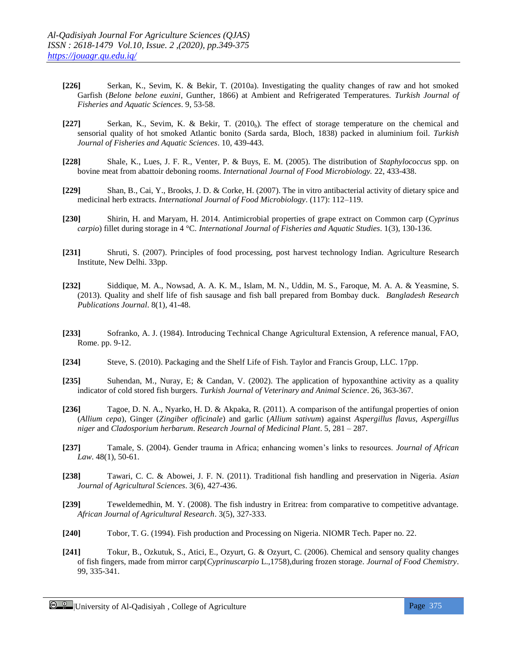- **[226]** Serkan, K., Sevim, K. & Bekir, T. (2010a). Investigating the quality changes of raw and hot smoked Garfish (*Belone belone euxini*, Gunther, 1866) at Ambient and Refrigerated Temperatures. *Turkish Journal of Fisheries and Aquatic Sciences*. 9, 53-58.
- **[227]** Serkan, K., Sevim, K. & Bekir, T. (2010<sub>b</sub>). The effect of storage temperature on the chemical and sensorial quality of hot smoked Atlantic bonito (Sarda sarda, Bloch, 1838) packed in aluminium foil. *Turkish Journal of Fisheries and Aquatic Sciences*. 10, 439-443.
- **[228]** Shale, K., Lues, J. F. R., Venter, P. & Buys, E. M. (2005). The distribution of *Staphylococcus* spp. on bovine meat from abattoir deboning rooms. *International Journal of Food Microbiology.* 22, 433-438.
- **[229]** Shan, B., Cai, Y., Brooks, J. D. & Corke, H. (2007). The in vitro antibacterial activity of dietary spice and medicinal herb extracts. *International Journal of Food Microbiology*. (117): 112–119.
- **[230]** Shirin, H. and Maryam, H. 2014. Antimicrobial properties of grape extract on Common carp (*Cyprinus carpio*) fillet during storage in 4 °C. *International Journal of Fisheries and Aquatic Studies*. 1(3), 130-136.
- **[231]** Shruti, S. (2007). Principles of food processing, post harvest technology Indian. Agriculture Research Institute, New Delhi. 33pp.
- **[232]** Siddique, M. A., Nowsad, A. A. K. M., Islam, M. N., Uddin, M. S., Faroque, M. A. A. & Yeasmine, S. (2013). Quality and shelf life of fish sausage and fish ball prepared from Bombay duck. *Bangladesh Research Publications Journal*. 8(1), 41-48.
- **[233]** Sofranko, A. J. (1984). Introducing Technical Change Agricultural Extension, A reference manual, FAO, Rome. pp. 9-12.
- **[234]** Steve, S. (2010). Packaging and the Shelf Life of Fish. Taylor and Francis Group, LLC. 17pp.
- **[235]** Suhendan, M., Nuray, E; & Candan, V. (2002). The application of hypoxanthine activity as a quality indicator of cold stored fish burgers. *Turkish Journal of Veterinary and Animal Science*. 26, 363-367.
- **[236]** Tagoe, D. N. A., Nyarko, H. D. & Akpaka, R. (2011). A comparison of the antifungal properties of onion (*Allium cepa*), Ginger (*Zingiber officinale*) and garlic (*Allium sativum*) against *Aspergillus flavus*, *Aspergillus niger* and *Cladosporium herbarum*. *Research Journal of Medicinal Plant*. 5, 281 – 287.
- **[237]** Tamale, S. (2004). Gender trauma in Africa; enhancing women's links to resources. *Journal of African Law*. 48(1), 50-61.
- **[238]** Tawari, C. C. & Abowei, J. F. N. (2011). Traditional fish handling and preservation in Nigeria. *Asian Journal of Agricultural Sciences*. 3(6), 427-436.
- **[239]** Teweldemedhin, M. Y. (2008). The fish industry in Eritrea: from comparative to competitive advantage. *African Journal of Agricultural Research*. 3(5), 327-333.
- **[240]** Tobor, T. G. (1994). Fish production and Processing on Nigeria. NIOMR Tech. Paper no. 22.
- **[241]** Tokur, B., Ozkutuk, S., Atici, E., Ozyurt, G. & Ozyurt, C. (2006). Chemical and sensory quality changes of fish fingers, made from mirror carp(*Cyprinuscarpio* L.,1758),during frozen storage. *Journal of Food Chemistry*. 99, 335-341.